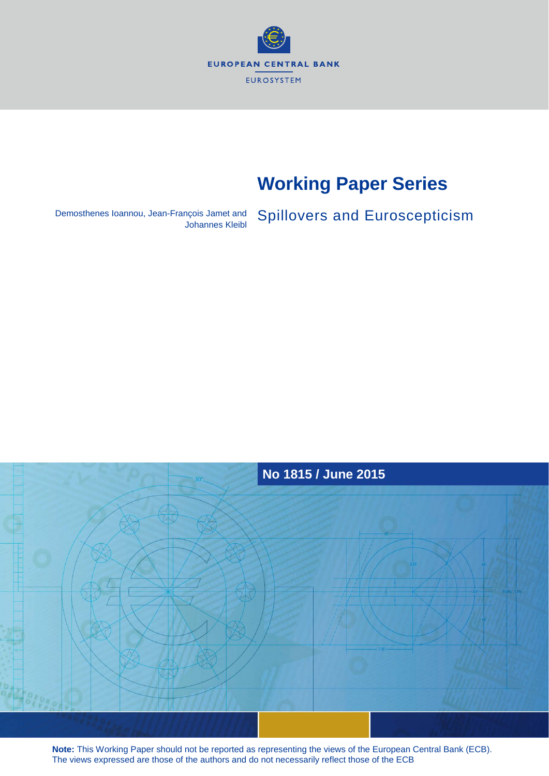

# **Working Paper Series**

Demosthenes Ioannou, Jean-François Jamet and Spillovers and Euroscepticism



**Note:** This Working Paper should not be reported as representing the views of the European Central Bank (ECB). The views expressed are those of the authors and do not necessarily reflect those of the ECB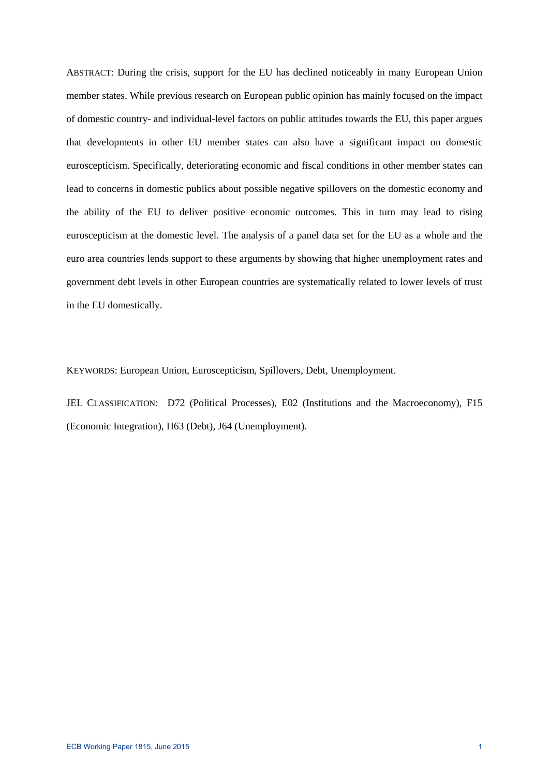ABSTRACT: During the crisis, support for the EU has declined noticeably in many European Union member states. While previous research on European public opinion has mainly focused on the impact of domestic country- and individual-level factors on public attitudes towards the EU, this paper argues that developments in other EU member states can also have a significant impact on domestic euroscepticism. Specifically, deteriorating economic and fiscal conditions in other member states can lead to concerns in domestic publics about possible negative spillovers on the domestic economy and the ability of the EU to deliver positive economic outcomes. This in turn may lead to rising euroscepticism at the domestic level. The analysis of a panel data set for the EU as a whole and the euro area countries lends support to these arguments by showing that higher unemployment rates and government debt levels in other European countries are systematically related to lower levels of trust in the EU domestically.

KEYWORDS: European Union, Euroscepticism, Spillovers, Debt, Unemployment.

JEL CLASSIFICATION: D72 (Political Processes), E02 (Institutions and the Macroeconomy), F15 (Economic Integration), H63 (Debt), J64 (Unemployment).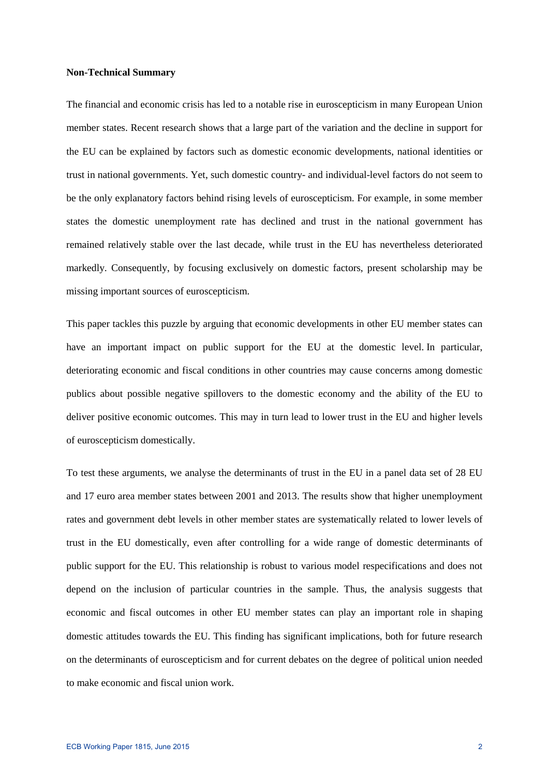### **Non-Technical Summary**

The financial and economic crisis has led to a notable rise in euroscepticism in many European Union member states. Recent research shows that a large part of the variation and the decline in support for the EU can be explained by factors such as domestic economic developments, national identities or trust in national governments. Yet, such domestic country- and individual-level factors do not seem to be the only explanatory factors behind rising levels of euroscepticism. For example, in some member states the domestic unemployment rate has declined and trust in the national government has remained relatively stable over the last decade, while trust in the EU has nevertheless deteriorated markedly. Consequently, by focusing exclusively on domestic factors, present scholarship may be missing important sources of euroscepticism.

This paper tackles this puzzle by arguing that economic developments in other EU member states can have an important impact on public support for the EU at the domestic level. In particular, deteriorating economic and fiscal conditions in other countries may cause concerns among domestic publics about possible negative spillovers to the domestic economy and the ability of the EU to deliver positive economic outcomes. This may in turn lead to lower trust in the EU and higher levels of euroscepticism domestically.

To test these arguments, we analyse the determinants of trust in the EU in a panel data set of 28 EU and 17 euro area member states between 2001 and 2013. The results show that higher unemployment rates and government debt levels in other member states are systematically related to lower levels of trust in the EU domestically, even after controlling for a wide range of domestic determinants of public support for the EU. This relationship is robust to various model respecifications and does not depend on the inclusion of particular countries in the sample. Thus, the analysis suggests that economic and fiscal outcomes in other EU member states can play an important role in shaping domestic attitudes towards the EU. This finding has significant implications, both for future research on the determinants of euroscepticism and for current debates on the degree of political union needed to make economic and fiscal union work.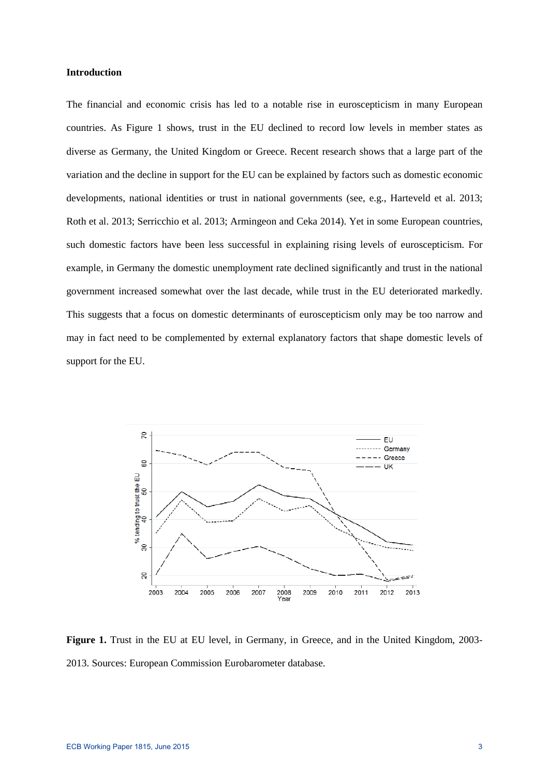#### **Introduction**

The financial and economic crisis has led to a notable rise in euroscepticism in many European countries. As Figure 1 shows, trust in the EU declined to record low levels in member states as diverse as Germany, the United Kingdom or Greece. Recent research shows that a large part of the variation and the decline in support for the EU can be explained by factors such as domestic economic developments, national identities or trust in national governments (see, e.g., Harteveld et al. 2013; Roth et al. 2013; Serricchio et al. 2013; Armingeon and Ceka 2014). Yet in some European countries, such domestic factors have been less successful in explaining rising levels of euroscepticism. For example, in Germany the domestic unemployment rate declined significantly and trust in the national government increased somewhat over the last decade, while trust in the EU deteriorated markedly. This suggests that a focus on domestic determinants of euroscepticism only may be too narrow and may in fact need to be complemented by external explanatory factors that shape domestic levels of support for the EU.



Figure 1. Trust in the EU at EU level, in Germany, in Greece, and in the United Kingdom, 2003-2013. Sources: European Commission Eurobarometer database.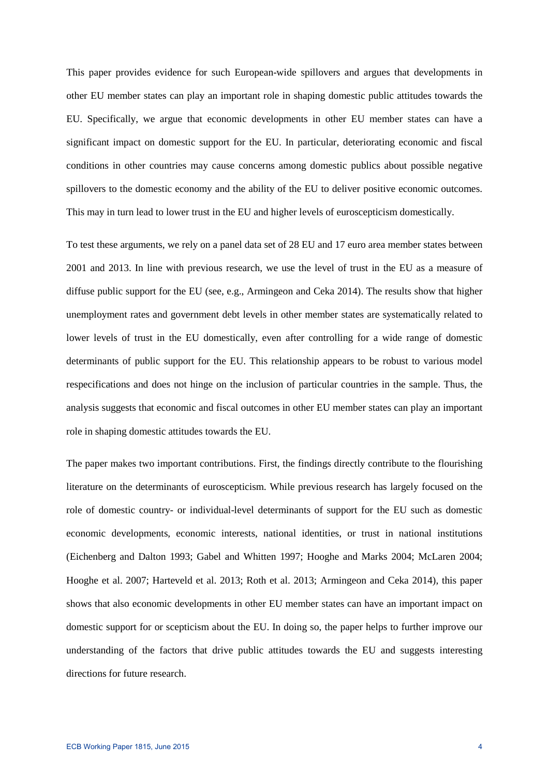This paper provides evidence for such European-wide spillovers and argues that developments in other EU member states can play an important role in shaping domestic public attitudes towards the EU. Specifically, we argue that economic developments in other EU member states can have a significant impact on domestic support for the EU. In particular, deteriorating economic and fiscal conditions in other countries may cause concerns among domestic publics about possible negative spillovers to the domestic economy and the ability of the EU to deliver positive economic outcomes. This may in turn lead to lower trust in the EU and higher levels of euroscepticism domestically.

To test these arguments, we rely on a panel data set of 28 EU and 17 euro area member states between 2001 and 2013. In line with previous research, we use the level of trust in the EU as a measure of diffuse public support for the EU (see, e.g., Armingeon and Ceka 2014). The results show that higher unemployment rates and government debt levels in other member states are systematically related to lower levels of trust in the EU domestically, even after controlling for a wide range of domestic determinants of public support for the EU. This relationship appears to be robust to various model respecifications and does not hinge on the inclusion of particular countries in the sample. Thus, the analysis suggests that economic and fiscal outcomes in other EU member states can play an important role in shaping domestic attitudes towards the EU.

The paper makes two important contributions. First, the findings directly contribute to the flourishing literature on the determinants of euroscepticism. While previous research has largely focused on the role of domestic country- or individual-level determinants of support for the EU such as domestic economic developments, economic interests, national identities, or trust in national institutions (Eichenberg and Dalton 1993; Gabel and Whitten 1997; Hooghe and Marks 2004; McLaren 2004; Hooghe et al. 2007; Harteveld et al. 2013; Roth et al. 2013; Armingeon and Ceka 2014), this paper shows that also economic developments in other EU member states can have an important impact on domestic support for or scepticism about the EU. In doing so, the paper helps to further improve our understanding of the factors that drive public attitudes towards the EU and suggests interesting directions for future research.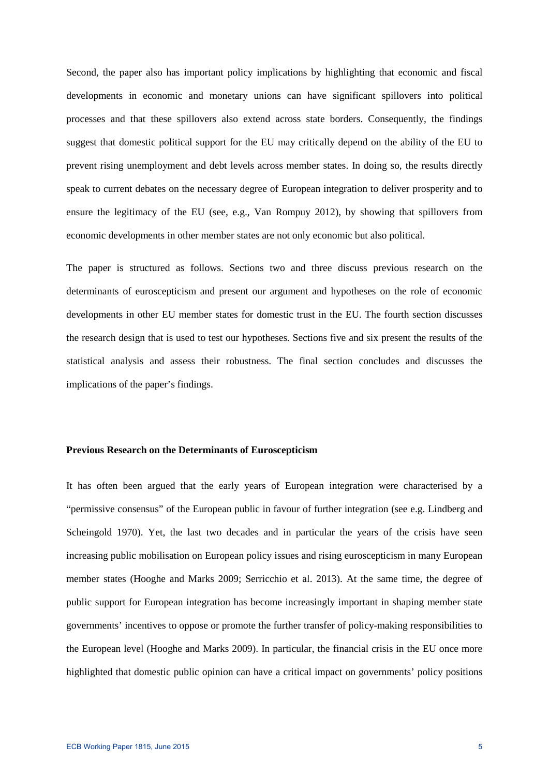Second, the paper also has important policy implications by highlighting that economic and fiscal developments in economic and monetary unions can have significant spillovers into political processes and that these spillovers also extend across state borders. Consequently, the findings suggest that domestic political support for the EU may critically depend on the ability of the EU to prevent rising unemployment and debt levels across member states. In doing so, the results directly speak to current debates on the necessary degree of European integration to deliver prosperity and to ensure the legitimacy of the EU (see, e.g., Van Rompuy 2012), by showing that spillovers from economic developments in other member states are not only economic but also political.

The paper is structured as follows. Sections two and three discuss previous research on the determinants of euroscepticism and present our argument and hypotheses on the role of economic developments in other EU member states for domestic trust in the EU. The fourth section discusses the research design that is used to test our hypotheses. Sections five and six present the results of the statistical analysis and assess their robustness. The final section concludes and discusses the implications of the paper's findings.

## **Previous Research on the Determinants of Euroscepticism**

It has often been argued that the early years of European integration were characterised by a "permissive consensus" of the European public in favour of further integration (see e.g. Lindberg and Scheingold 1970). Yet, the last two decades and in particular the years of the crisis have seen increasing public mobilisation on European policy issues and rising euroscepticism in many European member states (Hooghe and Marks 2009; Serricchio et al. 2013). At the same time, the degree of public support for European integration has become increasingly important in shaping member state governments' incentives to oppose or promote the further transfer of policy-making responsibilities to the European level (Hooghe and Marks 2009). In particular, the financial crisis in the EU once more highlighted that domestic public opinion can have a critical impact on governments' policy positions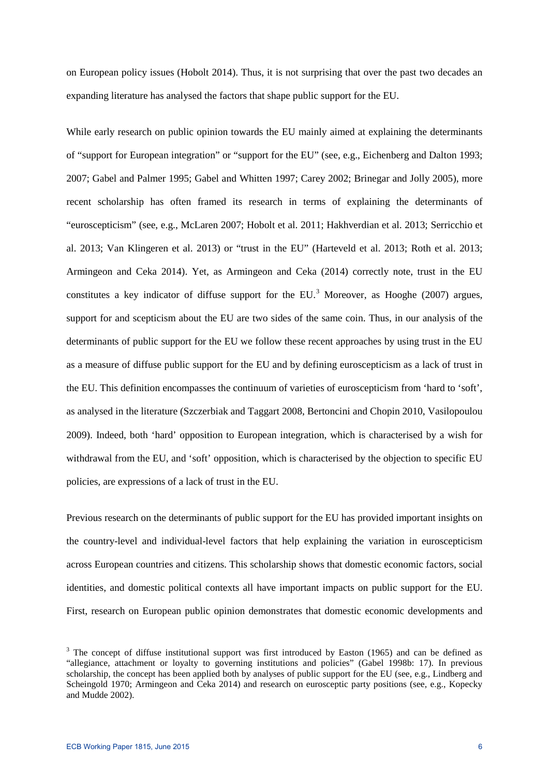on European policy issues (Hobolt 2014). Thus, it is not surprising that over the past two decades an expanding literature has analysed the factors that shape public support for the EU.

While early research on public opinion towards the EU mainly aimed at explaining the determinants of "support for European integration" or "support for the EU" (see, e.g., Eichenberg and Dalton 1993; 2007; Gabel and Palmer 1995; Gabel and Whitten 1997; Carey 2002; Brinegar and Jolly 2005), more recent scholarship has often framed its research in terms of explaining the determinants of "euroscepticism" (see, e.g., McLaren 2007; Hobolt et al. 2011; Hakhverdian et al. 2013; Serricchio et al. 2013; Van Klingeren et al. 2013) or "trust in the EU" (Harteveld et al. 2013; Roth et al. 2013; Armingeon and Ceka 2014). Yet, as Armingeon and Ceka (2014) correctly note, trust in the EU constitutes a key indicator of diffuse support for the EU.<sup>[3](#page-6-0)</sup> Moreover, as Hooghe (2007) argues, support for and scepticism about the EU are two sides of the same coin. Thus, in our analysis of the determinants of public support for the EU we follow these recent approaches by using trust in the EU as a measure of diffuse public support for the EU and by defining euroscepticism as a lack of trust in the EU. This definition encompasses the continuum of varieties of euroscepticism from 'hard to 'soft', as analysed in the literature (Szczerbiak and Taggart 2008, Bertoncini and Chopin 2010, Vasilopoulou 2009). Indeed, both 'hard' opposition to European integration, which is characterised by a wish for withdrawal from the EU, and 'soft' opposition, which is characterised by the objection to specific EU policies, are expressions of a lack of trust in the EU.

Previous research on the determinants of public support for the EU has provided important insights on the country-level and individual-level factors that help explaining the variation in euroscepticism across European countries and citizens. This scholarship shows that domestic economic factors, social identities, and domestic political contexts all have important impacts on public support for the EU. First, research on European public opinion demonstrates that domestic economic developments and

<span id="page-6-0"></span> $3$  The concept of diffuse institutional support was first introduced by Easton (1965) and can be defined as "allegiance, attachment or loyalty to governing institutions and policies" (Gabel 1998b: 17). In previous scholarship, the concept has been applied both by analyses of public support for the EU (see, e.g., Lindberg and Scheingold 1970; Armingeon and Ceka 2014) and research on eurosceptic party positions (see, e.g., Kopecky and Mudde 2002).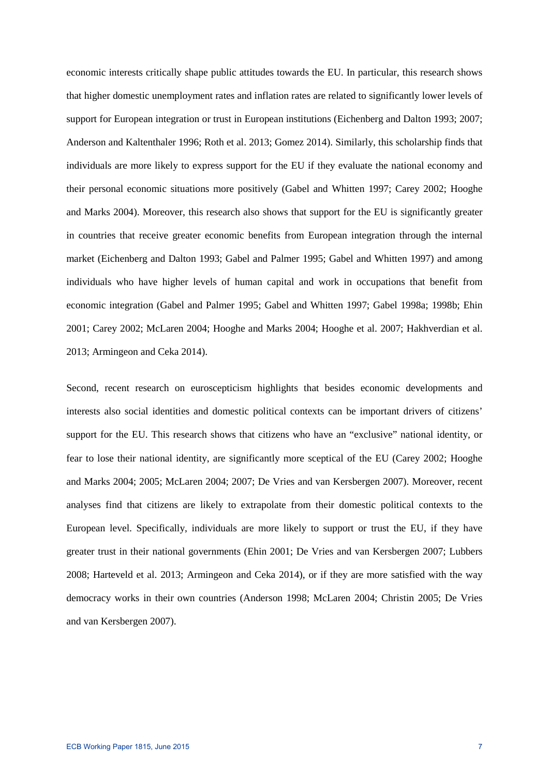economic interests critically shape public attitudes towards the EU. In particular, this research shows that higher domestic unemployment rates and inflation rates are related to significantly lower levels of support for European integration or trust in European institutions (Eichenberg and Dalton 1993; 2007; Anderson and Kaltenthaler 1996; Roth et al. 2013; Gomez 2014). Similarly, this scholarship finds that individuals are more likely to express support for the EU if they evaluate the national economy and their personal economic situations more positively (Gabel and Whitten 1997; Carey 2002; Hooghe and Marks 2004). Moreover, this research also shows that support for the EU is significantly greater in countries that receive greater economic benefits from European integration through the internal market (Eichenberg and Dalton 1993; Gabel and Palmer 1995; Gabel and Whitten 1997) and among individuals who have higher levels of human capital and work in occupations that benefit from economic integration (Gabel and Palmer 1995; Gabel and Whitten 1997; Gabel 1998a; 1998b; Ehin 2001; Carey 2002; McLaren 2004; Hooghe and Marks 2004; Hooghe et al. 2007; Hakhverdian et al. 2013; Armingeon and Ceka 2014).

Second, recent research on euroscepticism highlights that besides economic developments and interests also social identities and domestic political contexts can be important drivers of citizens' support for the EU. This research shows that citizens who have an "exclusive" national identity, or fear to lose their national identity, are significantly more sceptical of the EU (Carey 2002; Hooghe and Marks 2004; 2005; McLaren 2004; 2007; De Vries and van Kersbergen 2007). Moreover, recent analyses find that citizens are likely to extrapolate from their domestic political contexts to the European level. Specifically, individuals are more likely to support or trust the EU, if they have greater trust in their national governments (Ehin 2001; De Vries and van Kersbergen 2007; Lubbers 2008; Harteveld et al. 2013; Armingeon and Ceka 2014), or if they are more satisfied with the way democracy works in their own countries (Anderson 1998; McLaren 2004; Christin 2005; De Vries and van Kersbergen 2007).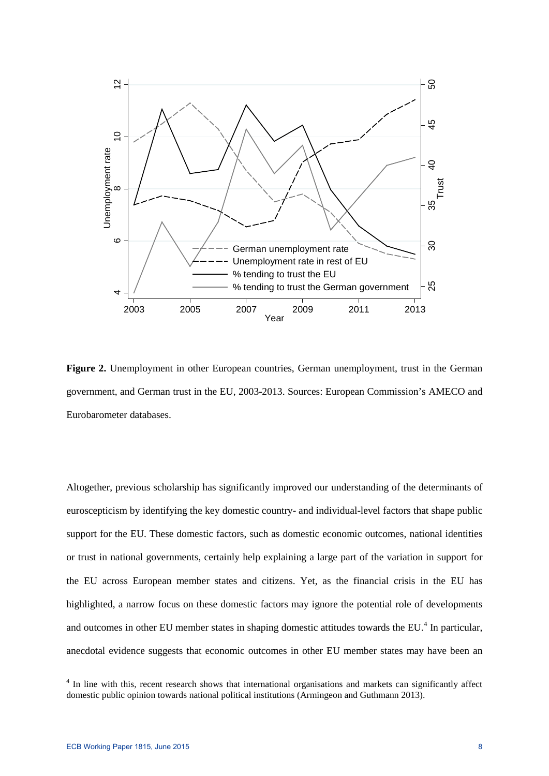

**Figure 2.** Unemployment in other European countries, German unemployment, trust in the German government, and German trust in the EU, 2003-2013. Sources: European Commission's AMECO and Eurobarometer databases.

Altogether, previous scholarship has significantly improved our understanding of the determinants of euroscepticism by identifying the key domestic country- and individual-level factors that shape public support for the EU. These domestic factors, such as domestic economic outcomes, national identities or trust in national governments, certainly help explaining a large part of the variation in support for the EU across European member states and citizens. Yet, as the financial crisis in the EU has highlighted, a narrow focus on these domestic factors may ignore the potential role of developments and outcomes in other EU member states in shaping domestic attitudes towards the EU.<sup>[4](#page-8-0)</sup> In particular, anecdotal evidence suggests that economic outcomes in other EU member states may have been an

<span id="page-8-0"></span><sup>&</sup>lt;sup>4</sup> In line with this, recent research shows that international organisations and markets can significantly affect domestic public opinion towards national political institutions (Armingeon and Guthmann 2013).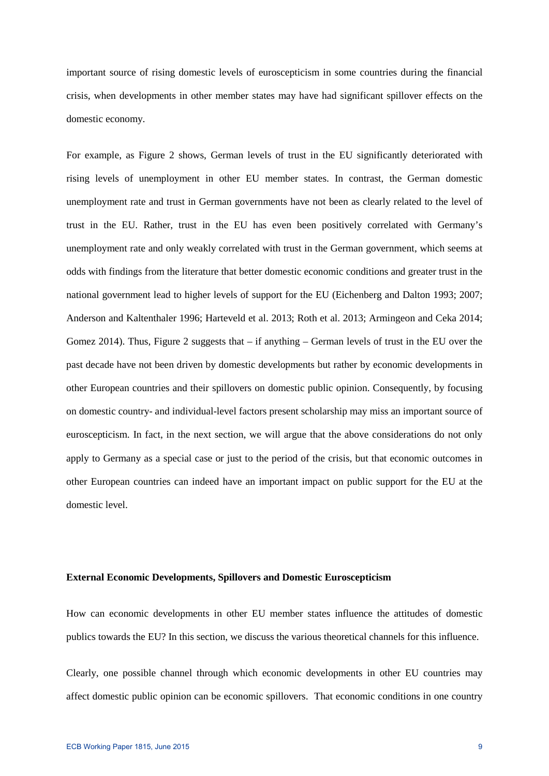important source of rising domestic levels of euroscepticism in some countries during the financial crisis, when developments in other member states may have had significant spillover effects on the domestic economy.

For example, as Figure 2 shows, German levels of trust in the EU significantly deteriorated with rising levels of unemployment in other EU member states. In contrast, the German domestic unemployment rate and trust in German governments have not been as clearly related to the level of trust in the EU. Rather, trust in the EU has even been positively correlated with Germany's unemployment rate and only weakly correlated with trust in the German government, which seems at odds with findings from the literature that better domestic economic conditions and greater trust in the national government lead to higher levels of support for the EU (Eichenberg and Dalton 1993; 2007; Anderson and Kaltenthaler 1996; Harteveld et al. 2013; Roth et al. 2013; Armingeon and Ceka 2014; Gomez 2014). Thus, Figure 2 suggests that  $-$  if anything  $-$  German levels of trust in the EU over the past decade have not been driven by domestic developments but rather by economic developments in other European countries and their spillovers on domestic public opinion. Consequently, by focusing on domestic country- and individual-level factors present scholarship may miss an important source of euroscepticism. In fact, in the next section, we will argue that the above considerations do not only apply to Germany as a special case or just to the period of the crisis, but that economic outcomes in other European countries can indeed have an important impact on public support for the EU at the domestic level.

#### **External Economic Developments, Spillovers and Domestic Euroscepticism**

How can economic developments in other EU member states influence the attitudes of domestic publics towards the EU? In this section, we discuss the various theoretical channels for this influence.

Clearly, one possible channel through which economic developments in other EU countries may affect domestic public opinion can be economic spillovers. That economic conditions in one country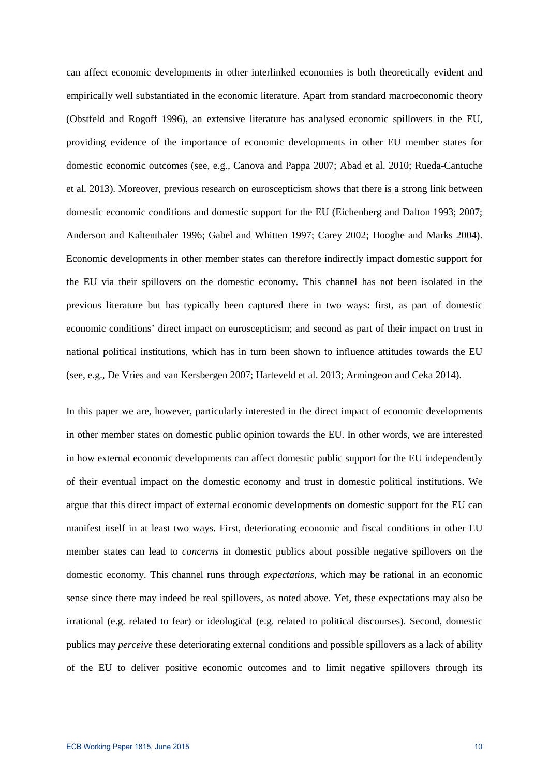can affect economic developments in other interlinked economies is both theoretically evident and empirically well substantiated in the economic literature. Apart from standard macroeconomic theory (Obstfeld and Rogoff 1996), an extensive literature has analysed economic spillovers in the EU, providing evidence of the importance of economic developments in other EU member states for domestic economic outcomes (see, e.g., Canova and Pappa 2007; Abad et al. 2010; Rueda-Cantuche et al. 2013). Moreover, previous research on euroscepticism shows that there is a strong link between domestic economic conditions and domestic support for the EU (Eichenberg and Dalton 1993; 2007; Anderson and Kaltenthaler 1996; Gabel and Whitten 1997; Carey 2002; Hooghe and Marks 2004). Economic developments in other member states can therefore indirectly impact domestic support for the EU via their spillovers on the domestic economy. This channel has not been isolated in the previous literature but has typically been captured there in two ways: first, as part of domestic economic conditions' direct impact on euroscepticism; and second as part of their impact on trust in national political institutions, which has in turn been shown to influence attitudes towards the EU (see, e.g., De Vries and van Kersbergen 2007; Harteveld et al. 2013; Armingeon and Ceka 2014).

In this paper we are, however, particularly interested in the direct impact of economic developments in other member states on domestic public opinion towards the EU. In other words, we are interested in how external economic developments can affect domestic public support for the EU independently of their eventual impact on the domestic economy and trust in domestic political institutions. We argue that this direct impact of external economic developments on domestic support for the EU can manifest itself in at least two ways. First, deteriorating economic and fiscal conditions in other EU member states can lead to *concerns* in domestic publics about possible negative spillovers on the domestic economy. This channel runs through *expectations*, which may be rational in an economic sense since there may indeed be real spillovers, as noted above. Yet, these expectations may also be irrational (e.g. related to fear) or ideological (e.g. related to political discourses). Second, domestic publics may *perceive* these deteriorating external conditions and possible spillovers as a lack of ability of the EU to deliver positive economic outcomes and to limit negative spillovers through its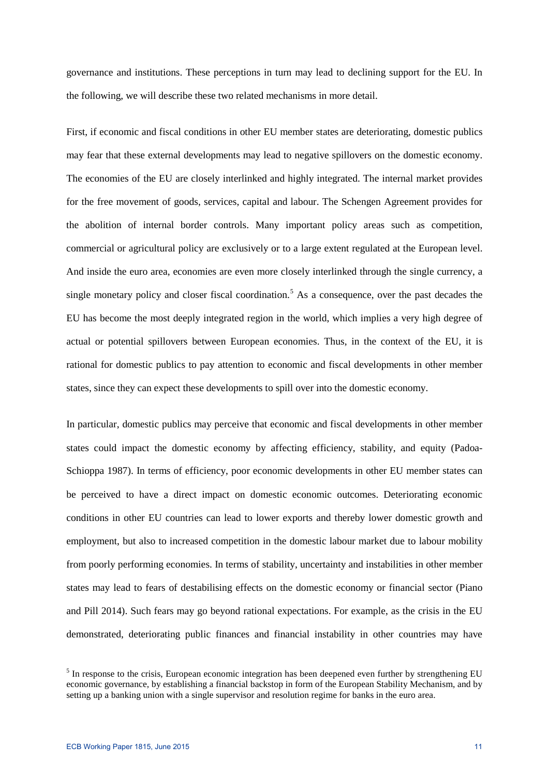governance and institutions. These perceptions in turn may lead to declining support for the EU. In the following, we will describe these two related mechanisms in more detail.

First, if economic and fiscal conditions in other EU member states are deteriorating, domestic publics may fear that these external developments may lead to negative spillovers on the domestic economy. The economies of the EU are closely interlinked and highly integrated. The internal market provides for the free movement of goods, services, capital and labour. The Schengen Agreement provides for the abolition of internal border controls. Many important policy areas such as competition, commercial or agricultural policy are exclusively or to a large extent regulated at the European level. And inside the euro area, economies are even more closely interlinked through the single currency, a single monetary policy and closer fiscal coordination.<sup>[5](#page-11-0)</sup> As a consequence, over the past decades the EU has become the most deeply integrated region in the world, which implies a very high degree of actual or potential spillovers between European economies. Thus, in the context of the EU, it is rational for domestic publics to pay attention to economic and fiscal developments in other member states, since they can expect these developments to spill over into the domestic economy.

In particular, domestic publics may perceive that economic and fiscal developments in other member states could impact the domestic economy by affecting efficiency, stability, and equity (Padoa-Schioppa 1987). In terms of efficiency, poor economic developments in other EU member states can be perceived to have a direct impact on domestic economic outcomes. Deteriorating economic conditions in other EU countries can lead to lower exports and thereby lower domestic growth and employment, but also to increased competition in the domestic labour market due to labour mobility from poorly performing economies. In terms of stability, uncertainty and instabilities in other member states may lead to fears of destabilising effects on the domestic economy or financial sector (Piano and Pill 2014). Such fears may go beyond rational expectations. For example, as the crisis in the EU demonstrated, deteriorating public finances and financial instability in other countries may have

<span id="page-11-0"></span><sup>&</sup>lt;sup>5</sup> In response to the crisis, European economic integration has been deepened even further by strengthening EU economic governance, by establishing a financial backstop in form of the European Stability Mechanism, and by setting up a banking union with a single supervisor and resolution regime for banks in the euro area.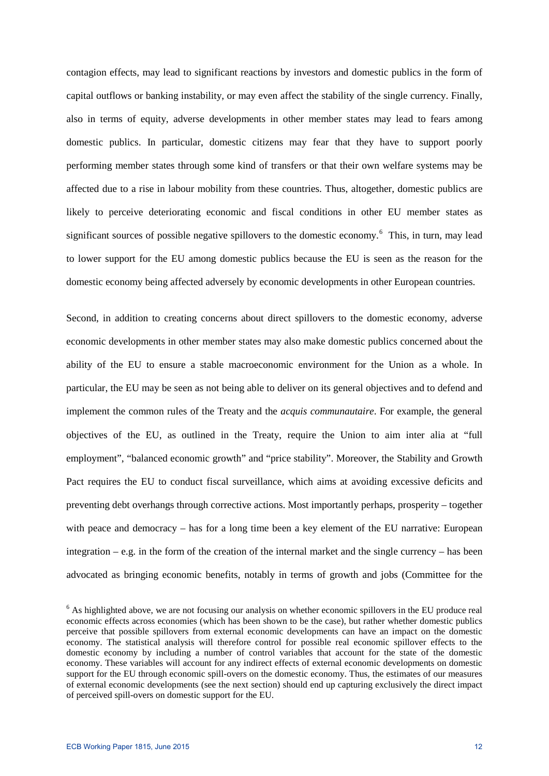contagion effects, may lead to significant reactions by investors and domestic publics in the form of capital outflows or banking instability, or may even affect the stability of the single currency. Finally, also in terms of equity, adverse developments in other member states may lead to fears among domestic publics. In particular, domestic citizens may fear that they have to support poorly performing member states through some kind of transfers or that their own welfare systems may be affected due to a rise in labour mobility from these countries. Thus, altogether, domestic publics are likely to perceive deteriorating economic and fiscal conditions in other EU member states as significant sources of possible negative spillovers to the domestic economy.<sup>[6](#page-12-0)</sup> This, in turn, may lead to lower support for the EU among domestic publics because the EU is seen as the reason for the domestic economy being affected adversely by economic developments in other European countries.

Second, in addition to creating concerns about direct spillovers to the domestic economy, adverse economic developments in other member states may also make domestic publics concerned about the ability of the EU to ensure a stable macroeconomic environment for the Union as a whole. In particular, the EU may be seen as not being able to deliver on its general objectives and to defend and implement the common rules of the Treaty and the *acquis communautaire*. For example, the general objectives of the EU, as outlined in the Treaty, require the Union to aim inter alia at "full employment", "balanced economic growth" and "price stability". Moreover, the Stability and Growth Pact requires the EU to conduct fiscal surveillance, which aims at avoiding excessive deficits and preventing debt overhangs through corrective actions. Most importantly perhaps, prosperity – together with peace and democracy – has for a long time been a key element of the EU narrative: European integration – e.g. in the form of the creation of the internal market and the single currency – has been advocated as bringing economic benefits, notably in terms of growth and jobs (Committee for the

<span id="page-12-0"></span><sup>&</sup>lt;sup>6</sup> As highlighted above, we are not focusing our analysis on whether economic spillovers in the EU produce real economic effects across economies (which has been shown to be the case), but rather whether domestic publics perceive that possible spillovers from external economic developments can have an impact on the domestic economy. The statistical analysis will therefore control for possible real economic spillover effects to the domestic economy by including a number of control variables that account for the state of the domestic economy. These variables will account for any indirect effects of external economic developments on domestic support for the EU through economic spill-overs on the domestic economy. Thus, the estimates of our measures of external economic developments (see the next section) should end up capturing exclusively the direct impact of perceived spill-overs on domestic support for the EU.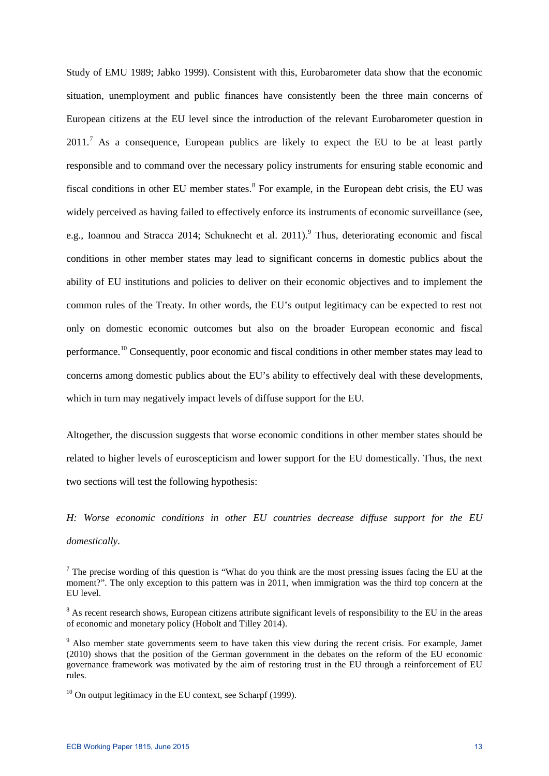Study of EMU 1989; Jabko 1999). Consistent with this, Eurobarometer data show that the economic situation, unemployment and public finances have consistently been the three main concerns of European citizens at the EU level since the introduction of the relevant Eurobarometer question in  $2011<sup>7</sup>$  $2011<sup>7</sup>$  $2011<sup>7</sup>$  As a consequence, European publics are likely to expect the EU to be at least partly responsible and to command over the necessary policy instruments for ensuring stable economic and fiscal conditions in other EU member states.<sup>[8](#page-13-1)</sup> For example, in the European debt crisis, the EU was widely perceived as having failed to effectively enforce its instruments of economic surveillance (see, e.g., Ioannou and Stracca 2014; Schuknecht et al. 2011).<sup>[9](#page-13-2)</sup> Thus, deteriorating economic and fiscal conditions in other member states may lead to significant concerns in domestic publics about the ability of EU institutions and policies to deliver on their economic objectives and to implement the common rules of the Treaty. In other words, the EU's output legitimacy can be expected to rest not only on domestic economic outcomes but also on the broader European economic and fiscal performance.<sup>10</sup> Consequently, poor economic and fiscal conditions in other member states may lead to concerns among domestic publics about the EU's ability to effectively deal with these developments, which in turn may negatively impact levels of diffuse support for the EU.

Altogether, the discussion suggests that worse economic conditions in other member states should be related to higher levels of euroscepticism and lower support for the EU domestically. Thus, the next two sections will test the following hypothesis:

# *H: Worse economic conditions in other EU countries decrease diffuse support for the EU domestically.*

<span id="page-13-0"></span><sup>&</sup>lt;sup>7</sup> The precise wording of this question is "What do you think are the most pressing issues facing the EU at the moment?". The only exception to this pattern was in 2011, when immigration was the third top concern at the EU level.

<span id="page-13-1"></span><sup>&</sup>lt;sup>8</sup> As recent research shows, European citizens attribute significant levels of responsibility to the EU in the areas of economic and monetary policy (Hobolt and Tilley 2014).

<span id="page-13-2"></span><sup>&</sup>lt;sup>9</sup> Also member state governments seem to have taken this view during the recent crisis. For example, Jamet (2010) shows that the position of the German government in the debates on the reform of the EU economic governance framework was motivated by the aim of restoring trust in the EU through a reinforcement of EU rules.

<span id="page-13-3"></span> $10$  On output legitimacy in the EU context, see Scharpf (1999).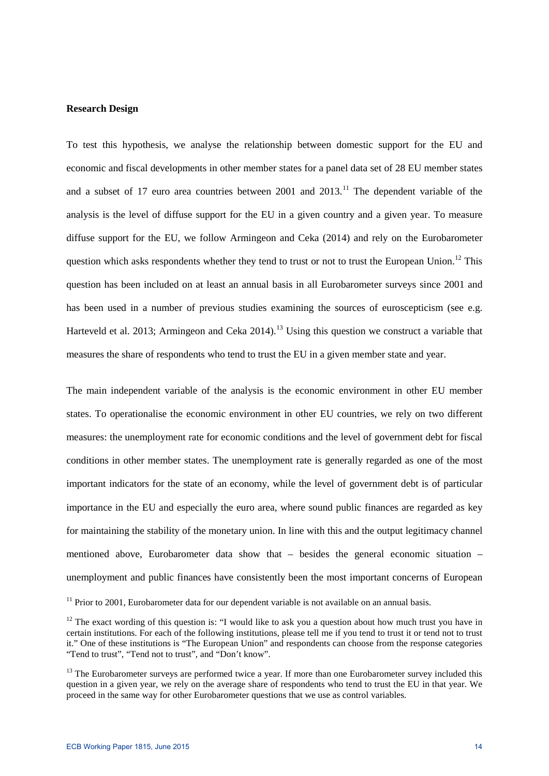### **Research Design**

To test this hypothesis, we analyse the relationship between domestic support for the EU and economic and fiscal developments in other member states for a panel data set of 28 EU member states and a subset of 17 euro area countries between  $2001$  and  $2013$ .<sup>[11](#page-14-0)</sup> The dependent variable of the analysis is the level of diffuse support for the EU in a given country and a given year. To measure diffuse support for the EU, we follow Armingeon and Ceka (2014) and rely on the Eurobarometer question which asks respondents whether they tend to trust or not to trust the European Union.<sup>[12](#page-14-1)</sup> This question has been included on at least an annual basis in all Eurobarometer surveys since 2001 and has been used in a number of previous studies examining the sources of euroscepticism (see e.g. Harteveld et al. 20[13](#page-14-2); Armingeon and Ceka 2014).<sup>13</sup> Using this question we construct a variable that measures the share of respondents who tend to trust the EU in a given member state and year.

The main independent variable of the analysis is the economic environment in other EU member states. To operationalise the economic environment in other EU countries, we rely on two different measures: the unemployment rate for economic conditions and the level of government debt for fiscal conditions in other member states. The unemployment rate is generally regarded as one of the most important indicators for the state of an economy, while the level of government debt is of particular importance in the EU and especially the euro area, where sound public finances are regarded as key for maintaining the stability of the monetary union. In line with this and the output legitimacy channel mentioned above, Eurobarometer data show that – besides the general economic situation – unemployment and public finances have consistently been the most important concerns of European

<span id="page-14-0"></span> $11$  Prior to 2001, Eurobarometer data for our dependent variable is not available on an annual basis.

<span id="page-14-1"></span><sup>&</sup>lt;sup>12</sup> The exact wording of this question is: "I would like to ask you a question about how much trust you have in certain institutions. For each of the following institutions, please tell me if you tend to trust it or tend not to trust it." One of these institutions is "The European Union" and respondents can choose from the response categories "Tend to trust", "Tend not to trust", and "Don't know".

<span id="page-14-2"></span><sup>&</sup>lt;sup>13</sup> The Eurobarometer surveys are performed twice a year. If more than one Eurobarometer survey included this question in a given year, we rely on the average share of respondents who tend to trust the EU in that year. We proceed in the same way for other Eurobarometer questions that we use as control variables.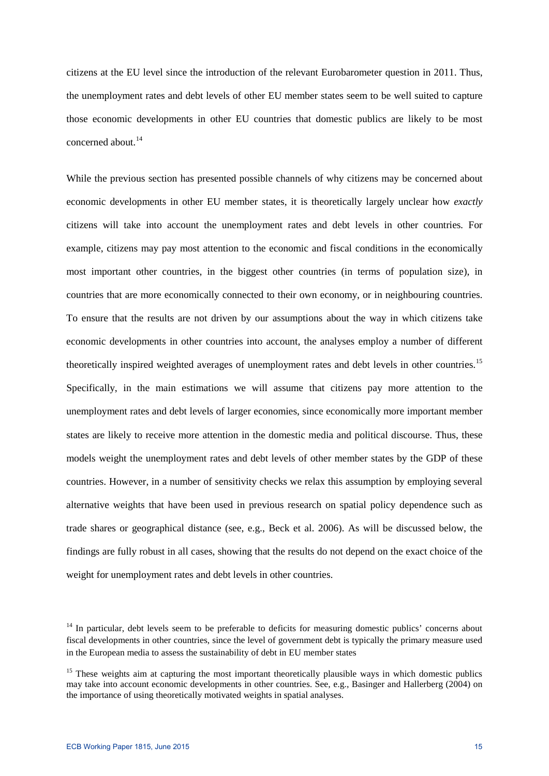citizens at the EU level since the introduction of the relevant Eurobarometer question in 2011. Thus, the unemployment rates and debt levels of other EU member states seem to be well suited to capture those economic developments in other EU countries that domestic publics are likely to be most concerned about. [14](#page-15-0)

While the previous section has presented possible channels of why citizens may be concerned about economic developments in other EU member states, it is theoretically largely unclear how *exactly* citizens will take into account the unemployment rates and debt levels in other countries. For example, citizens may pay most attention to the economic and fiscal conditions in the economically most important other countries, in the biggest other countries (in terms of population size), in countries that are more economically connected to their own economy, or in neighbouring countries. To ensure that the results are not driven by our assumptions about the way in which citizens take economic developments in other countries into account, the analyses employ a number of different theoretically inspired weighted averages of unemployment rates and debt levels in other countries.<sup>[15](#page-15-1)</sup> Specifically, in the main estimations we will assume that citizens pay more attention to the unemployment rates and debt levels of larger economies, since economically more important member states are likely to receive more attention in the domestic media and political discourse. Thus, these models weight the unemployment rates and debt levels of other member states by the GDP of these countries. However, in a number of sensitivity checks we relax this assumption by employing several alternative weights that have been used in previous research on spatial policy dependence such as trade shares or geographical distance (see, e.g., Beck et al. 2006). As will be discussed below, the findings are fully robust in all cases, showing that the results do not depend on the exact choice of the weight for unemployment rates and debt levels in other countries.

<span id="page-15-0"></span><sup>&</sup>lt;sup>14</sup> In particular, debt levels seem to be preferable to deficits for measuring domestic publics' concerns about fiscal developments in other countries, since the level of government debt is typically the primary measure used in the European media to assess the sustainability of debt in EU member states

<span id="page-15-1"></span><sup>&</sup>lt;sup>15</sup> These weights aim at capturing the most important theoretically plausible ways in which domestic publics may take into account economic developments in other countries. See, e.g., Basinger and Hallerberg (2004) on the importance of using theoretically motivated weights in spatial analyses.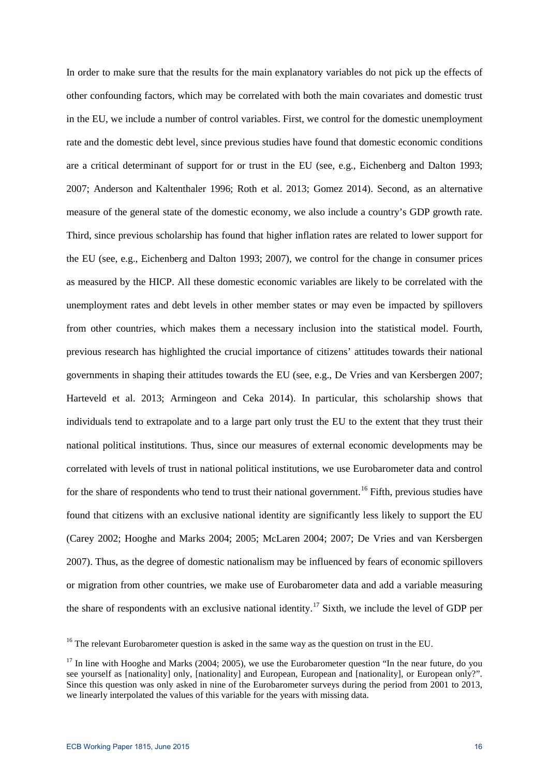In order to make sure that the results for the main explanatory variables do not pick up the effects of other confounding factors, which may be correlated with both the main covariates and domestic trust in the EU, we include a number of control variables. First, we control for the domestic unemployment rate and the domestic debt level, since previous studies have found that domestic economic conditions are a critical determinant of support for or trust in the EU (see, e.g., Eichenberg and Dalton 1993; 2007; Anderson and Kaltenthaler 1996; Roth et al. 2013; Gomez 2014). Second, as an alternative measure of the general state of the domestic economy, we also include a country's GDP growth rate. Third, since previous scholarship has found that higher inflation rates are related to lower support for the EU (see, e.g., Eichenberg and Dalton 1993; 2007), we control for the change in consumer prices as measured by the HICP. All these domestic economic variables are likely to be correlated with the unemployment rates and debt levels in other member states or may even be impacted by spillovers from other countries, which makes them a necessary inclusion into the statistical model. Fourth, previous research has highlighted the crucial importance of citizens' attitudes towards their national governments in shaping their attitudes towards the EU (see, e.g., De Vries and van Kersbergen 2007; Harteveld et al. 2013; Armingeon and Ceka 2014). In particular, this scholarship shows that individuals tend to extrapolate and to a large part only trust the EU to the extent that they trust their national political institutions. Thus, since our measures of external economic developments may be correlated with levels of trust in national political institutions, we use Eurobarometer data and control for the share of respondents who tend to trust their national government.<sup>[16](#page-16-0)</sup> Fifth, previous studies have found that citizens with an exclusive national identity are significantly less likely to support the EU (Carey 2002; Hooghe and Marks 2004; 2005; McLaren 2004; 2007; De Vries and van Kersbergen 2007). Thus, as the degree of domestic nationalism may be influenced by fears of economic spillovers or migration from other countries, we make use of Eurobarometer data and add a variable measuring the share of respondents with an exclusive national identity.<sup>[17](#page-16-1)</sup> Sixth, we include the level of GDP per

<span id="page-16-0"></span><sup>&</sup>lt;sup>16</sup> The relevant Eurobarometer question is asked in the same way as the question on trust in the EU.

<span id="page-16-1"></span> $17$  In line with Hooghe and Marks (2004; 2005), we use the Eurobarometer question "In the near future, do you see yourself as [nationality] only, [nationality] and European, European and [nationality], or European only?". Since this question was only asked in nine of the Eurobarometer surveys during the period from 2001 to 2013, we linearly interpolated the values of this variable for the years with missing data.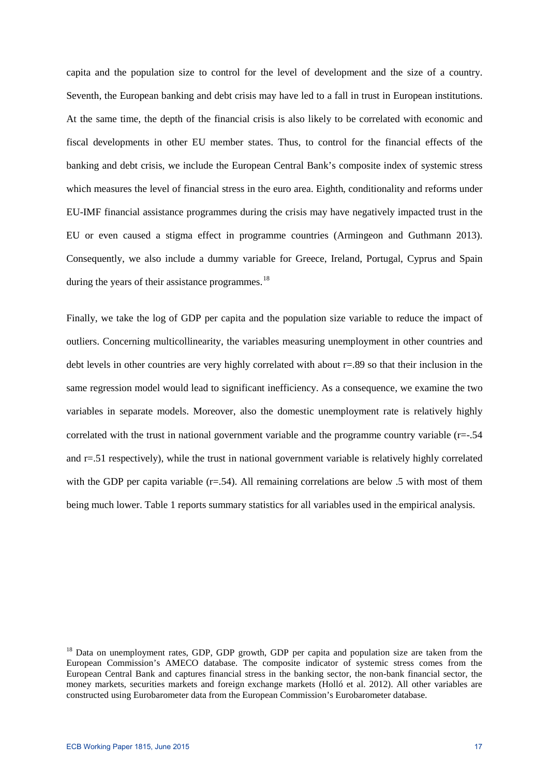capita and the population size to control for the level of development and the size of a country. Seventh, the European banking and debt crisis may have led to a fall in trust in European institutions. At the same time, the depth of the financial crisis is also likely to be correlated with economic and fiscal developments in other EU member states. Thus, to control for the financial effects of the banking and debt crisis, we include the European Central Bank's composite index of systemic stress which measures the level of financial stress in the euro area. Eighth, conditionality and reforms under EU-IMF financial assistance programmes during the crisis may have negatively impacted trust in the EU or even caused a stigma effect in programme countries (Armingeon and Guthmann 2013). Consequently, we also include a dummy variable for Greece, Ireland, Portugal, Cyprus and Spain during the years of their assistance programmes.<sup>[18](#page-17-0)</sup>

Finally, we take the log of GDP per capita and the population size variable to reduce the impact of outliers. Concerning multicollinearity, the variables measuring unemployment in other countries and debt levels in other countries are very highly correlated with about  $r=.89$  so that their inclusion in the same regression model would lead to significant inefficiency. As a consequence, we examine the two variables in separate models. Moreover, also the domestic unemployment rate is relatively highly correlated with the trust in national government variable and the programme country variable  $(r=-.54$ and r=.51 respectively), while the trust in national government variable is relatively highly correlated with the GDP per capita variable  $(r=.54)$ . All remaining correlations are below .5 with most of them being much lower. Table 1 reports summary statistics for all variables used in the empirical analysis.

<span id="page-17-0"></span><sup>&</sup>lt;sup>18</sup> Data on unemployment rates, GDP, GDP growth, GDP per capita and population size are taken from the European Commission's AMECO database. The composite indicator of systemic stress comes from the European Central Bank and captures financial stress in the banking sector, the non-bank financial sector, the money markets, securities markets and foreign exchange markets (Holló et al. 2012). All other variables are constructed using Eurobarometer data from the European Commission's Eurobarometer database.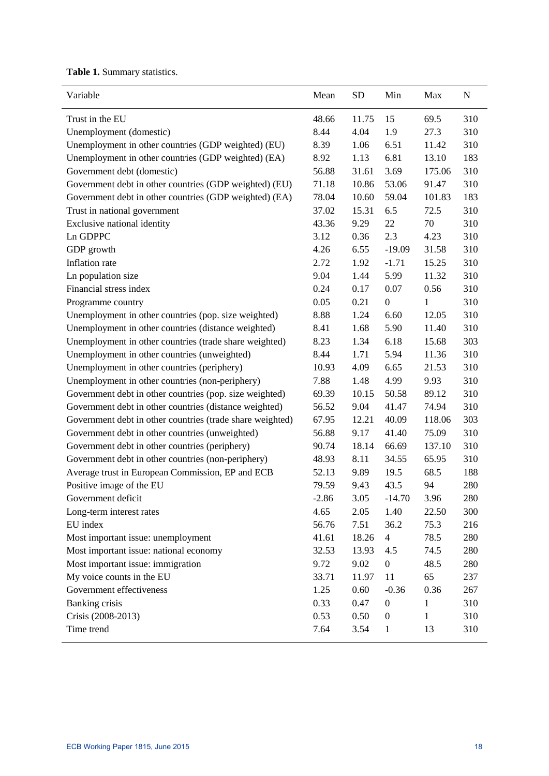**Table 1.** Summary statistics.

| Variable                                                  | Mean    | <b>SD</b> | Min            | Max    | ${\bf N}$ |
|-----------------------------------------------------------|---------|-----------|----------------|--------|-----------|
| Trust in the EU                                           | 48.66   | 11.75     | 15             | 69.5   | 310       |
| Unemployment (domestic)                                   | 8.44    | 4.04      | 1.9            | 27.3   | 310       |
| Unemployment in other countries (GDP weighted) (EU)       | 8.39    | 1.06      | 6.51           | 11.42  | 310       |
| Unemployment in other countries (GDP weighted) (EA)       | 8.92    | 1.13      | 6.81           | 13.10  | 183       |
| Government debt (domestic)                                | 56.88   | 31.61     | 3.69           | 175.06 | 310       |
| Government debt in other countries (GDP weighted) (EU)    | 71.18   | 10.86     | 53.06          | 91.47  | 310       |
| Government debt in other countries (GDP weighted) (EA)    | 78.04   | 10.60     | 59.04          | 101.83 | 183       |
| Trust in national government                              | 37.02   | 15.31     | 6.5            | 72.5   | 310       |
| Exclusive national identity                               | 43.36   | 9.29      | 22             | 70     | 310       |
| Ln GDPPC                                                  | 3.12    | 0.36      | 2.3            | 4.23   | 310       |
| GDP growth                                                | 4.26    | 6.55      | $-19.09$       | 31.58  | 310       |
| Inflation rate                                            | 2.72    | 1.92      | $-1.71$        | 15.25  | 310       |
| Ln population size                                        | 9.04    | 1.44      | 5.99           | 11.32  | 310       |
| Financial stress index                                    | 0.24    | 0.17      | 0.07           | 0.56   | 310       |
| Programme country                                         | 0.05    | 0.21      | $\mathbf{0}$   | 1      | 310       |
| Unemployment in other countries (pop. size weighted)      | 8.88    | 1.24      | 6.60           | 12.05  | 310       |
| Unemployment in other countries (distance weighted)       | 8.41    | 1.68      | 5.90           | 11.40  | 310       |
| Unemployment in other countries (trade share weighted)    | 8.23    | 1.34      | 6.18           | 15.68  | 303       |
| Unemployment in other countries (unweighted)              | 8.44    | 1.71      | 5.94           | 11.36  | 310       |
| Unemployment in other countries (periphery)               | 10.93   | 4.09      | 6.65           | 21.53  | 310       |
| Unemployment in other countries (non-periphery)           | 7.88    | 1.48      | 4.99           | 9.93   | 310       |
| Government debt in other countries (pop. size weighted)   | 69.39   | 10.15     | 50.58          | 89.12  | 310       |
| Government debt in other countries (distance weighted)    | 56.52   | 9.04      | 41.47          | 74.94  | 310       |
| Government debt in other countries (trade share weighted) | 67.95   | 12.21     | 40.09          | 118.06 | 303       |
| Government debt in other countries (unweighted)           | 56.88   | 9.17      | 41.40          | 75.09  | 310       |
| Government debt in other countries (periphery)            | 90.74   | 18.14     | 66.69          | 137.10 | 310       |
| Government debt in other countries (non-periphery)        | 48.93   | 8.11      | 34.55          | 65.95  | 310       |
| Average trust in European Commission, EP and ECB          | 52.13   | 9.89      | 19.5           | 68.5   | 188       |
| Positive image of the EU                                  | 79.59   | 9.43      | 43.5           | 94     | 280       |
| Government deficit                                        | $-2.86$ | 3.05      | $-14.70$       | 3.96   | 280       |
| Long-term interest rates                                  | 4.65    | 2.05      | 1.40           | 22.50  | 300       |
| EU index                                                  | 56.76   | 7.51      | 36.2           | 75.3   | 216       |
| Most important issue: unemployment                        | 41.61   | 18.26     | $\overline{4}$ | 78.5   | 280       |
| Most important issue: national economy                    | 32.53   | 13.93     | 4.5            | 74.5   | 280       |
| Most important issue: immigration                         | 9.72    | 9.02      | $\overline{0}$ | 48.5   | 280       |
| My voice counts in the EU                                 | 33.71   | 11.97     | 11             | 65     | 237       |
| Government effectiveness                                  | 1.25    | 0.60      | $-0.36$        | 0.36   | 267       |
| <b>Banking crisis</b>                                     | 0.33    | 0.47      | $\overline{0}$ | 1      | 310       |
| Crisis (2008-2013)                                        | 0.53    | 0.50      | $\overline{0}$ | 1      | 310       |
|                                                           |         |           |                |        |           |
| Time trend                                                | 7.64    | 3.54      | $\mathbf{1}$   | 13     | 310       |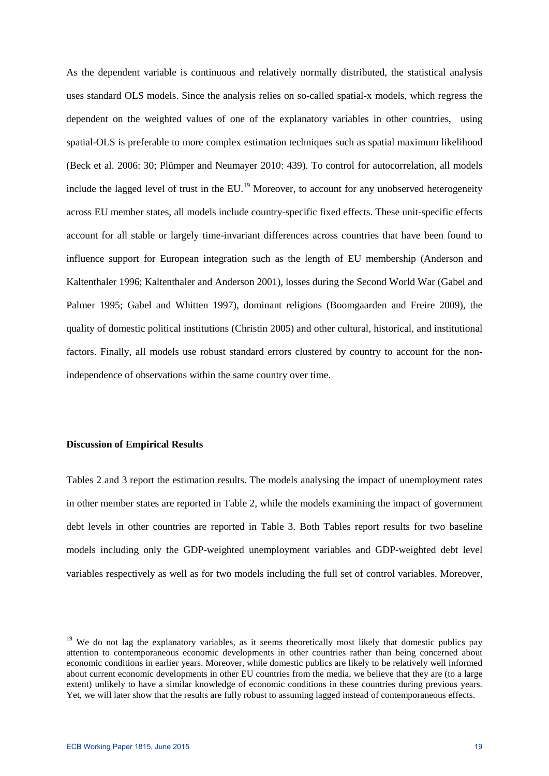As the dependent variable is continuous and relatively normally distributed, the statistical analysis uses standard OLS models. Since the analysis relies on so-called spatial-x models, which regress the dependent on the weighted values of one of the explanatory variables in other countries, using spatial-OLS is preferable to more complex estimation techniques such as spatial maximum likelihood (Beck et al. 2006: 30; Plümper and Neumayer 2010: 439). To control for autocorrelation, all models include the lagged level of trust in the  $EU<sup>19</sup>$  $EU<sup>19</sup>$  $EU<sup>19</sup>$  Moreover, to account for any unobserved heterogeneity across EU member states, all models include country-specific fixed effects. These unit-specific effects account for all stable or largely time-invariant differences across countries that have been found to influence support for European integration such as the length of EU membership (Anderson and Kaltenthaler 1996; Kaltenthaler and Anderson 2001), losses during the Second World War (Gabel and Palmer 1995; Gabel and Whitten 1997), dominant religions (Boomgaarden and Freire 2009), the quality of domestic political institutions (Christin 2005) and other cultural, historical, and institutional factors. Finally, all models use robust standard errors clustered by country to account for the nonindependence of observations within the same country over time.

#### **Discussion of Empirical Results**

Tables 2 and 3 report the estimation results. The models analysing the impact of unemployment rates in other member states are reported in Table 2, while the models examining the impact of government debt levels in other countries are reported in Table 3. Both Tables report results for two baseline models including only the GDP-weighted unemployment variables and GDP-weighted debt level variables respectively as well as for two models including the full set of control variables. Moreover,

<span id="page-19-0"></span><sup>&</sup>lt;sup>19</sup> We do not lag the explanatory variables, as it seems theoretically most likely that domestic publics pay attention to contemporaneous economic developments in other countries rather than being concerned about economic conditions in earlier years. Moreover, while domestic publics are likely to be relatively well informed about current economic developments in other EU countries from the media, we believe that they are (to a large extent) unlikely to have a similar knowledge of economic conditions in these countries during previous years. Yet, we will later show that the results are fully robust to assuming lagged instead of contemporaneous effects.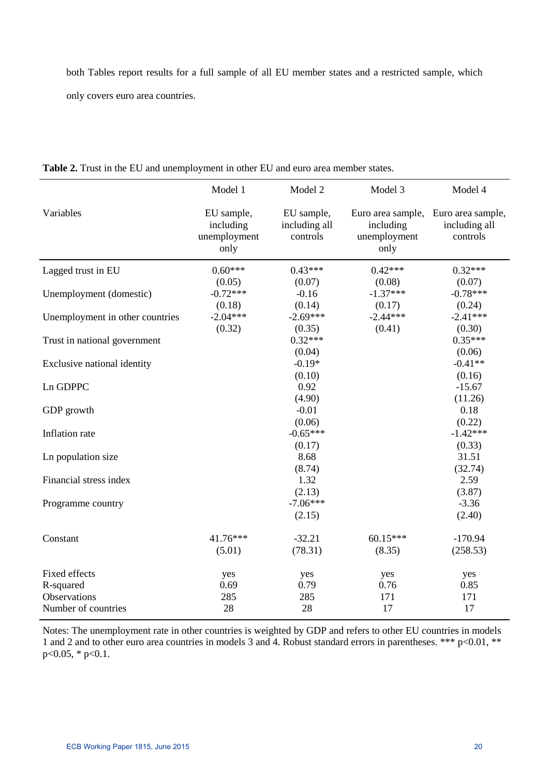both Tables report results for a full sample of all EU member states and a restricted sample, which only covers euro area countries.

|                                     | Model 1                                         | Model 2                                 | Model 3                                                | Model 4                                        |
|-------------------------------------|-------------------------------------------------|-----------------------------------------|--------------------------------------------------------|------------------------------------------------|
| Variables                           | EU sample,<br>including<br>unemployment<br>only | EU sample,<br>including all<br>controls | Euro area sample,<br>including<br>unemployment<br>only | Euro area sample,<br>including all<br>controls |
| Lagged trust in EU                  | $0.60***$                                       | $0.43***$                               | $0.42***$                                              | $0.32***$                                      |
| Unemployment (domestic)             | (0.05)<br>$-0.72***$<br>(0.18)                  | (0.07)<br>$-0.16$<br>(0.14)             | (0.08)<br>$-1.37***$<br>(0.17)                         | (0.07)<br>$-0.78***$<br>(0.24)                 |
| Unemployment in other countries     | $-2.04***$<br>(0.32)                            | $-2.69***$<br>(0.35)                    | $-2.44***$<br>(0.41)                                   | $-2.41***$<br>(0.30)                           |
| Trust in national government        |                                                 | $0.32***$                               |                                                        | $0.35***$                                      |
| Exclusive national identity         |                                                 | (0.04)<br>$-0.19*$<br>(0.10)            |                                                        | (0.06)<br>$-0.41**$<br>(0.16)                  |
| Ln GDPPC                            |                                                 | 0.92<br>(4.90)                          |                                                        | $-15.67$<br>(11.26)                            |
| GDP growth                          |                                                 | $-0.01$<br>(0.06)                       |                                                        | 0.18<br>(0.22)                                 |
| Inflation rate                      |                                                 | $-0.65***$<br>(0.17)                    |                                                        | $-1.42***$<br>(0.33)                           |
| Ln population size                  |                                                 | 8.68<br>(8.74)                          |                                                        | 31.51<br>(32.74)                               |
| Financial stress index              |                                                 | 1.32<br>(2.13)                          |                                                        | 2.59<br>(3.87)                                 |
| Programme country                   |                                                 | $-7.06***$<br>(2.15)                    |                                                        | $-3.36$<br>(2.40)                              |
| Constant                            | 41.76***<br>(5.01)                              | $-32.21$<br>(78.31)                     | $60.15***$<br>(8.35)                                   | $-170.94$<br>(258.53)                          |
| Fixed effects                       | yes                                             | yes                                     | yes                                                    | yes                                            |
| R-squared                           | 0.69                                            | 0.79                                    | 0.76                                                   | 0.85                                           |
| Observations<br>Number of countries | 285<br>28                                       | 285<br>28                               | 171<br>17                                              | 171<br>17                                      |
|                                     |                                                 |                                         |                                                        |                                                |

**Table 2.** Trust in the EU and unemployment in other EU and euro area member states.

l,

Notes: The unemployment rate in other countries is weighted by GDP and refers to other EU countries in models 1 and 2 and to other euro area countries in models 3 and 4. Robust standard errors in parentheses. \*\*\* p<0.01, \*\*  $p<0.05$ , \*  $p<0.1$ .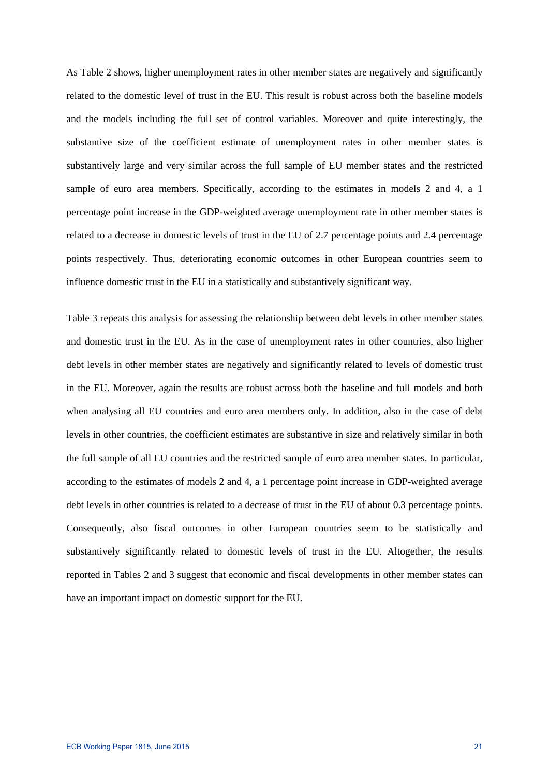As Table 2 shows, higher unemployment rates in other member states are negatively and significantly related to the domestic level of trust in the EU. This result is robust across both the baseline models and the models including the full set of control variables. Moreover and quite interestingly, the substantive size of the coefficient estimate of unemployment rates in other member states is substantively large and very similar across the full sample of EU member states and the restricted sample of euro area members. Specifically, according to the estimates in models 2 and 4, a 1 percentage point increase in the GDP-weighted average unemployment rate in other member states is related to a decrease in domestic levels of trust in the EU of 2.7 percentage points and 2.4 percentage points respectively. Thus, deteriorating economic outcomes in other European countries seem to influence domestic trust in the EU in a statistically and substantively significant way.

Table 3 repeats this analysis for assessing the relationship between debt levels in other member states and domestic trust in the EU. As in the case of unemployment rates in other countries, also higher debt levels in other member states are negatively and significantly related to levels of domestic trust in the EU. Moreover, again the results are robust across both the baseline and full models and both when analysing all EU countries and euro area members only. In addition, also in the case of debt levels in other countries, the coefficient estimates are substantive in size and relatively similar in both the full sample of all EU countries and the restricted sample of euro area member states. In particular, according to the estimates of models 2 and 4, a 1 percentage point increase in GDP-weighted average debt levels in other countries is related to a decrease of trust in the EU of about 0.3 percentage points. Consequently, also fiscal outcomes in other European countries seem to be statistically and substantively significantly related to domestic levels of trust in the EU. Altogether, the results reported in Tables 2 and 3 suggest that economic and fiscal developments in other member states can have an important impact on domestic support for the EU.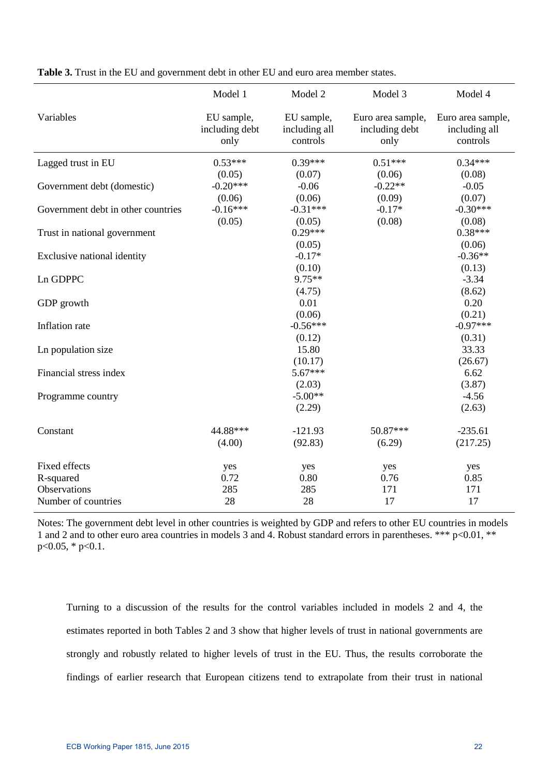|                                    | Model 1                              | Model 2                                 | Model 3                                     | Model 4                                        |
|------------------------------------|--------------------------------------|-----------------------------------------|---------------------------------------------|------------------------------------------------|
| Variables                          | EU sample,<br>including debt<br>only | EU sample,<br>including all<br>controls | Euro area sample,<br>including debt<br>only | Euro area sample,<br>including all<br>controls |
| Lagged trust in EU                 | $0.53***$                            | $0.39***$                               | $0.51***$                                   | $0.34***$                                      |
|                                    | (0.05)                               | (0.07)                                  | (0.06)                                      | (0.08)                                         |
| Government debt (domestic)         | $-0.20***$                           | $-0.06$                                 | $-0.22**$                                   | $-0.05$                                        |
|                                    | (0.06)                               | (0.06)                                  | (0.09)                                      | (0.07)                                         |
| Government debt in other countries | $-0.16***$                           | $-0.31***$                              | $-0.17*$                                    | $-0.30***$                                     |
|                                    | (0.05)                               | (0.05)                                  | (0.08)                                      | (0.08)                                         |
| Trust in national government       |                                      | $0.29***$                               |                                             | $0.38***$                                      |
|                                    |                                      | (0.05)                                  |                                             | (0.06)                                         |
| Exclusive national identity        |                                      | $-0.17*$                                |                                             | $-0.36**$                                      |
|                                    |                                      | (0.10)                                  |                                             | (0.13)                                         |
| Ln GDPPC                           |                                      | $9.75**$                                |                                             | $-3.34$                                        |
|                                    |                                      | (4.75)                                  |                                             | (8.62)                                         |
| GDP growth                         |                                      | 0.01                                    |                                             | 0.20                                           |
|                                    |                                      | (0.06)<br>$-0.56***$                    |                                             | (0.21)<br>$-0.97***$                           |
| Inflation rate                     |                                      |                                         |                                             |                                                |
| Ln population size                 |                                      | (0.12)<br>15.80                         |                                             | (0.31)<br>33.33                                |
|                                    |                                      | (10.17)                                 |                                             | (26.67)                                        |
| Financial stress index             |                                      | $5.67***$                               |                                             | 6.62                                           |
|                                    |                                      | (2.03)                                  |                                             | (3.87)                                         |
| Programme country                  |                                      | $-5.00**$                               |                                             | $-4.56$                                        |
|                                    |                                      | (2.29)                                  |                                             | (2.63)                                         |
|                                    |                                      |                                         |                                             |                                                |
| Constant                           | 44.88***                             | $-121.93$                               | 50.87***                                    | $-235.61$                                      |
|                                    | (4.00)                               | (92.83)                                 | (6.29)                                      | (217.25)                                       |
| Fixed effects                      | yes                                  | yes                                     | yes                                         | yes                                            |
| R-squared                          | 0.72                                 | 0.80                                    | 0.76                                        | 0.85                                           |
| <b>Observations</b>                | 285                                  | 285                                     | 171                                         | 171                                            |
| Number of countries                | 28                                   | 28                                      | 17                                          | 17                                             |

**Table 3.** Trust in the EU and government debt in other EU and euro area member states.

Notes: The government debt level in other countries is weighted by GDP and refers to other EU countries in models 1 and 2 and to other euro area countries in models 3 and 4. Robust standard errors in parentheses. \*\*\* p<0.01, \*\* p<0.05, \* p<0.1.

Turning to a discussion of the results for the control variables included in models 2 and 4, the estimates reported in both Tables 2 and 3 show that higher levels of trust in national governments are strongly and robustly related to higher levels of trust in the EU. Thus, the results corroborate the findings of earlier research that European citizens tend to extrapolate from their trust in national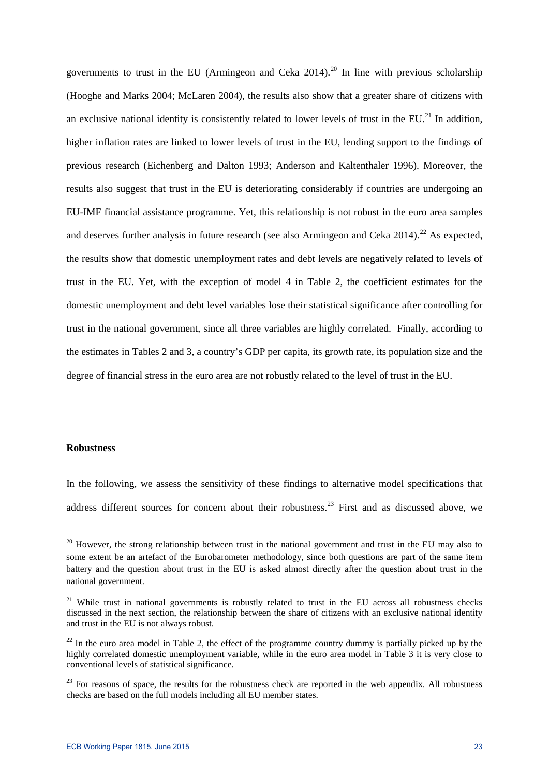governments to trust in the EU (Armingeon and Ceka [20](#page-23-0)14).<sup>20</sup> In line with previous scholarship (Hooghe and Marks 2004; McLaren 2004), the results also show that a greater share of citizens with an exclusive national identity is consistently related to lower levels of trust in the EU.<sup>[21](#page-23-1)</sup> In addition. higher inflation rates are linked to lower levels of trust in the EU, lending support to the findings of previous research (Eichenberg and Dalton 1993; Anderson and Kaltenthaler 1996). Moreover, the results also suggest that trust in the EU is deteriorating considerably if countries are undergoing an EU-IMF financial assistance programme. Yet, this relationship is not robust in the euro area samples and deserves further analysis in future research (see also Armingeon and Ceka  $2014$ ).<sup>[22](#page-23-2)</sup> As expected, the results show that domestic unemployment rates and debt levels are negatively related to levels of trust in the EU. Yet, with the exception of model 4 in Table 2, the coefficient estimates for the domestic unemployment and debt level variables lose their statistical significance after controlling for trust in the national government, since all three variables are highly correlated. Finally, according to the estimates in Tables 2 and 3, a country's GDP per capita, its growth rate, its population size and the degree of financial stress in the euro area are not robustly related to the level of trust in the EU.

# **Robustness**

In the following, we assess the sensitivity of these findings to alternative model specifications that address different sources for concern about their robustness.<sup>[23](#page-23-3)</sup> First and as discussed above, we

<span id="page-23-0"></span> $20$  However, the strong relationship between trust in the national government and trust in the EU may also to some extent be an artefact of the Eurobarometer methodology, since both questions are part of the same item battery and the question about trust in the EU is asked almost directly after the question about trust in the national government.

<span id="page-23-1"></span><sup>&</sup>lt;sup>21</sup> While trust in national governments is robustly related to trust in the EU across all robustness checks discussed in the next section, the relationship between the share of citizens with an exclusive national identity and trust in the EU is not always robust.

<span id="page-23-2"></span> $^{22}$  In the euro area model in Table 2, the effect of the programme country dummy is partially picked up by the highly correlated domestic unemployment variable, while in the euro area model in Table 3 it is very close to conventional levels of statistical significance.

<span id="page-23-3"></span> $^{23}$  For reasons of space, the results for the robustness check are reported in the web appendix. All robustness checks are based on the full models including all EU member states.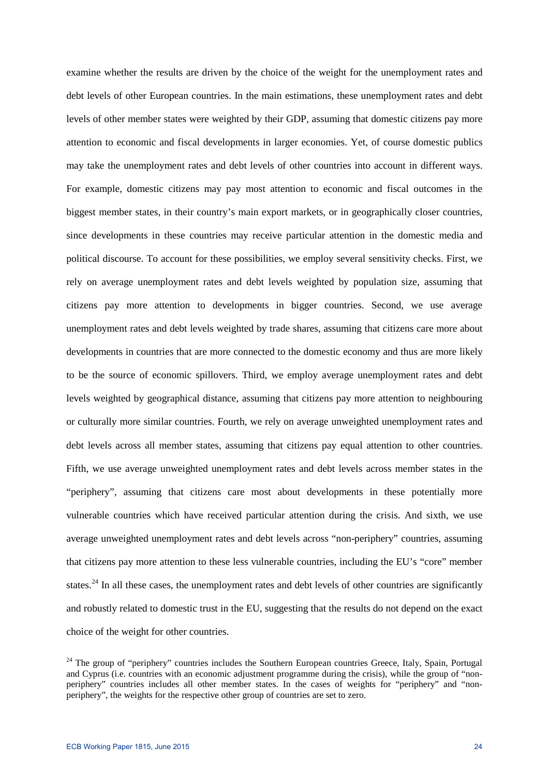examine whether the results are driven by the choice of the weight for the unemployment rates and debt levels of other European countries. In the main estimations, these unemployment rates and debt levels of other member states were weighted by their GDP, assuming that domestic citizens pay more attention to economic and fiscal developments in larger economies. Yet, of course domestic publics may take the unemployment rates and debt levels of other countries into account in different ways. For example, domestic citizens may pay most attention to economic and fiscal outcomes in the biggest member states, in their country's main export markets, or in geographically closer countries, since developments in these countries may receive particular attention in the domestic media and political discourse. To account for these possibilities, we employ several sensitivity checks. First, we rely on average unemployment rates and debt levels weighted by population size, assuming that citizens pay more attention to developments in bigger countries. Second, we use average unemployment rates and debt levels weighted by trade shares, assuming that citizens care more about developments in countries that are more connected to the domestic economy and thus are more likely to be the source of economic spillovers. Third, we employ average unemployment rates and debt levels weighted by geographical distance, assuming that citizens pay more attention to neighbouring or culturally more similar countries. Fourth, we rely on average unweighted unemployment rates and debt levels across all member states, assuming that citizens pay equal attention to other countries. Fifth, we use average unweighted unemployment rates and debt levels across member states in the "periphery", assuming that citizens care most about developments in these potentially more vulnerable countries which have received particular attention during the crisis. And sixth, we use average unweighted unemployment rates and debt levels across "non-periphery" countries, assuming that citizens pay more attention to these less vulnerable countries, including the EU's "core" member states.<sup>[24](#page-24-0)</sup> In all these cases, the unemployment rates and debt levels of other countries are significantly and robustly related to domestic trust in the EU, suggesting that the results do not depend on the exact choice of the weight for other countries.

<span id="page-24-0"></span><sup>&</sup>lt;sup>24</sup> The group of "periphery" countries includes the Southern European countries Greece, Italy, Spain, Portugal and Cyprus (i.e. countries with an economic adjustment programme during the crisis), while the group of "nonperiphery" countries includes all other member states. In the cases of weights for "periphery" and "nonperiphery", the weights for the respective other group of countries are set to zero.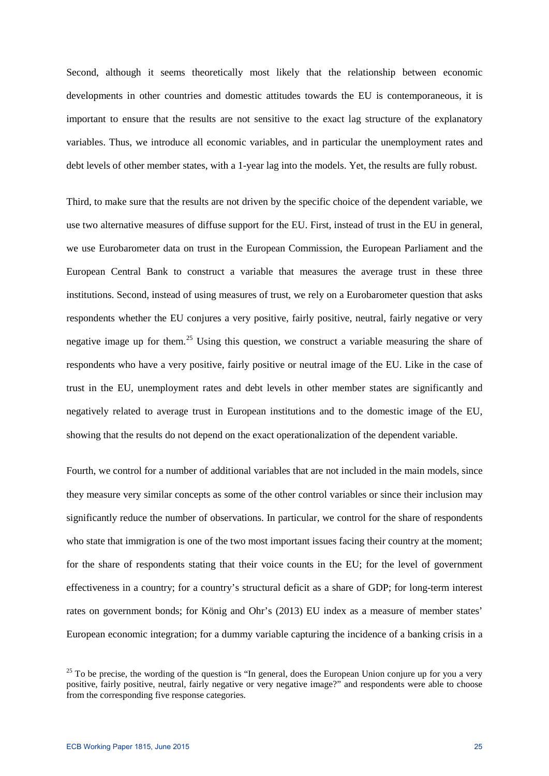Second, although it seems theoretically most likely that the relationship between economic developments in other countries and domestic attitudes towards the EU is contemporaneous, it is important to ensure that the results are not sensitive to the exact lag structure of the explanatory variables. Thus, we introduce all economic variables, and in particular the unemployment rates and debt levels of other member states, with a 1-year lag into the models. Yet, the results are fully robust.

Third, to make sure that the results are not driven by the specific choice of the dependent variable, we use two alternative measures of diffuse support for the EU. First, instead of trust in the EU in general, we use Eurobarometer data on trust in the European Commission, the European Parliament and the European Central Bank to construct a variable that measures the average trust in these three institutions. Second, instead of using measures of trust, we rely on a Eurobarometer question that asks respondents whether the EU conjures a very positive, fairly positive, neutral, fairly negative or very negative image up for them.<sup>[25](#page-25-0)</sup> Using this question, we construct a variable measuring the share of respondents who have a very positive, fairly positive or neutral image of the EU. Like in the case of trust in the EU, unemployment rates and debt levels in other member states are significantly and negatively related to average trust in European institutions and to the domestic image of the EU, showing that the results do not depend on the exact operationalization of the dependent variable.

Fourth, we control for a number of additional variables that are not included in the main models, since they measure very similar concepts as some of the other control variables or since their inclusion may significantly reduce the number of observations. In particular, we control for the share of respondents who state that immigration is one of the two most important issues facing their country at the moment; for the share of respondents stating that their voice counts in the EU; for the level of government effectiveness in a country; for a country's structural deficit as a share of GDP; for long-term interest rates on government bonds; for König and Ohr's (2013) EU index as a measure of member states' European economic integration; for a dummy variable capturing the incidence of a banking crisis in a

<span id="page-25-0"></span> $25$  To be precise, the wording of the question is "In general, does the European Union conjure up for you a very positive, fairly positive, neutral, fairly negative or very negative image?" and respondents were able to choose from the corresponding five response categories.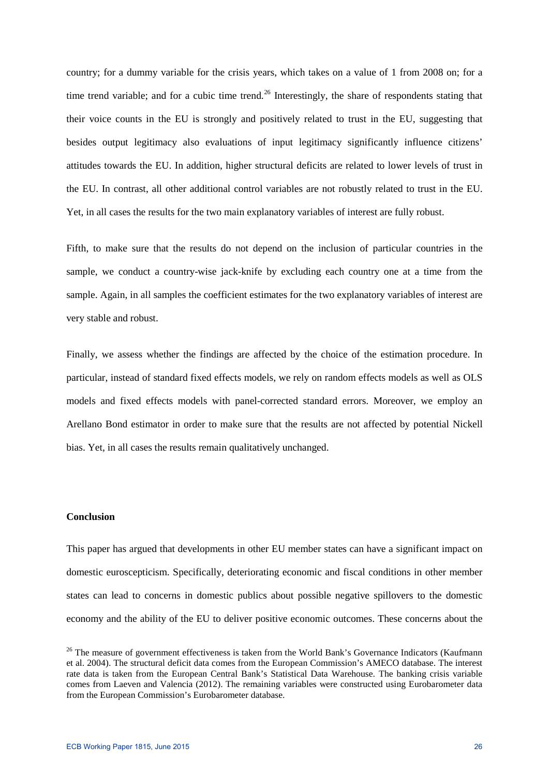country; for a dummy variable for the crisis years, which takes on a value of 1 from 2008 on; for a time trend variable; and for a cubic time trend.<sup>[26](#page-26-0)</sup> Interestingly, the share of respondents stating that their voice counts in the EU is strongly and positively related to trust in the EU, suggesting that besides output legitimacy also evaluations of input legitimacy significantly influence citizens' attitudes towards the EU. In addition, higher structural deficits are related to lower levels of trust in the EU. In contrast, all other additional control variables are not robustly related to trust in the EU. Yet, in all cases the results for the two main explanatory variables of interest are fully robust.

Fifth, to make sure that the results do not depend on the inclusion of particular countries in the sample, we conduct a country-wise jack-knife by excluding each country one at a time from the sample. Again, in all samples the coefficient estimates for the two explanatory variables of interest are very stable and robust.

Finally, we assess whether the findings are affected by the choice of the estimation procedure. In particular, instead of standard fixed effects models, we rely on random effects models as well as OLS models and fixed effects models with panel-corrected standard errors. Moreover, we employ an Arellano Bond estimator in order to make sure that the results are not affected by potential Nickell bias. Yet, in all cases the results remain qualitatively unchanged.

### **Conclusion**

This paper has argued that developments in other EU member states can have a significant impact on domestic euroscepticism. Specifically, deteriorating economic and fiscal conditions in other member states can lead to concerns in domestic publics about possible negative spillovers to the domestic economy and the ability of the EU to deliver positive economic outcomes. These concerns about the

<span id="page-26-0"></span><sup>&</sup>lt;sup>26</sup> The measure of government effectiveness is taken from the World Bank's Governance Indicators (Kaufmann et al. 2004). The structural deficit data comes from the European Commission's AMECO database. The interest rate data is taken from the European Central Bank's Statistical Data Warehouse. The banking crisis variable comes from Laeven and Valencia (2012). The remaining variables were constructed using Eurobarometer data from the European Commission's Eurobarometer database.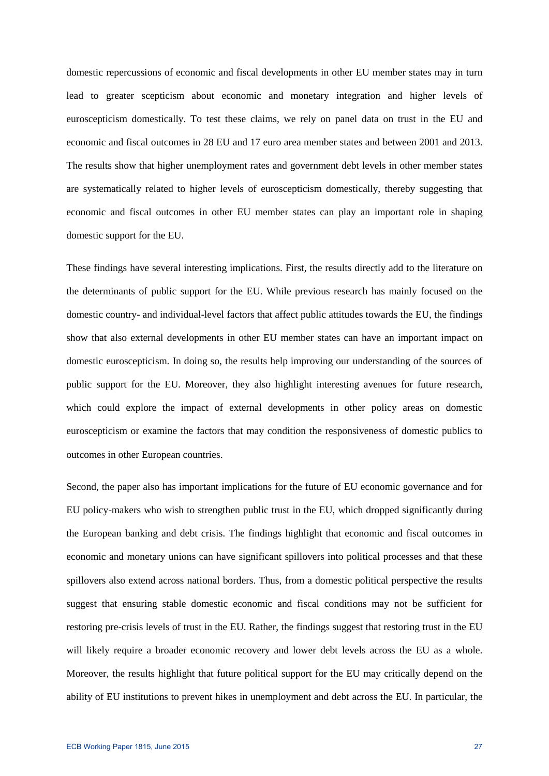domestic repercussions of economic and fiscal developments in other EU member states may in turn lead to greater scepticism about economic and monetary integration and higher levels of euroscepticism domestically. To test these claims, we rely on panel data on trust in the EU and economic and fiscal outcomes in 28 EU and 17 euro area member states and between 2001 and 2013. The results show that higher unemployment rates and government debt levels in other member states are systematically related to higher levels of euroscepticism domestically, thereby suggesting that economic and fiscal outcomes in other EU member states can play an important role in shaping domestic support for the EU.

These findings have several interesting implications. First, the results directly add to the literature on the determinants of public support for the EU. While previous research has mainly focused on the domestic country- and individual-level factors that affect public attitudes towards the EU, the findings show that also external developments in other EU member states can have an important impact on domestic euroscepticism. In doing so, the results help improving our understanding of the sources of public support for the EU. Moreover, they also highlight interesting avenues for future research, which could explore the impact of external developments in other policy areas on domestic euroscepticism or examine the factors that may condition the responsiveness of domestic publics to outcomes in other European countries.

Second, the paper also has important implications for the future of EU economic governance and for EU policy-makers who wish to strengthen public trust in the EU, which dropped significantly during the European banking and debt crisis. The findings highlight that economic and fiscal outcomes in economic and monetary unions can have significant spillovers into political processes and that these spillovers also extend across national borders. Thus, from a domestic political perspective the results suggest that ensuring stable domestic economic and fiscal conditions may not be sufficient for restoring pre-crisis levels of trust in the EU. Rather, the findings suggest that restoring trust in the EU will likely require a broader economic recovery and lower debt levels across the EU as a whole. Moreover, the results highlight that future political support for the EU may critically depend on the ability of EU institutions to prevent hikes in unemployment and debt across the EU. In particular, the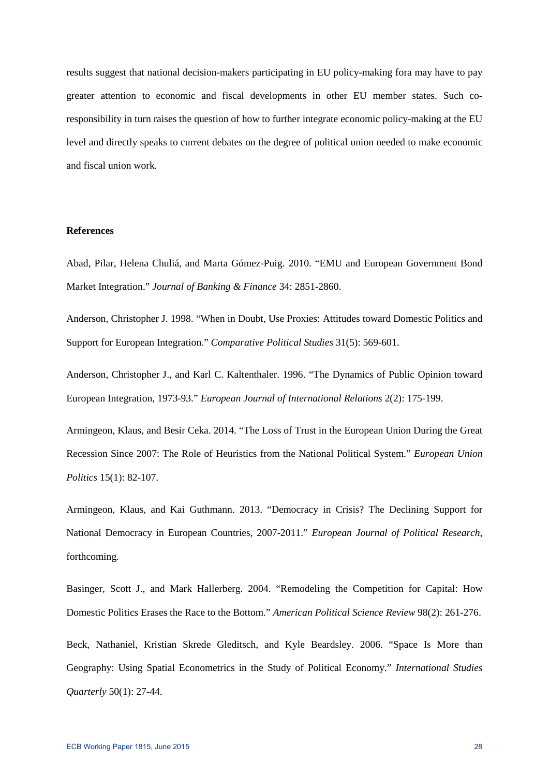results suggest that national decision-makers participating in EU policy-making fora may have to pay greater attention to economic and fiscal developments in other EU member states. Such coresponsibility in turn raises the question of how to further integrate economic policy-making at the EU level and directly speaks to current debates on the degree of political union needed to make economic and fiscal union work.

# **References**

Abad, Pilar, Helena Chuliá, and Marta Gómez-Puig. 2010. "EMU and European Government Bond Market Integration." *Journal of Banking & Finance* 34: 2851-2860.

Anderson, Christopher J. 1998. "When in Doubt, Use Proxies: Attitudes toward Domestic Politics and Support for European Integration." *Comparative Political Studies* 31(5): 569-601.

Anderson, Christopher J., and Karl C. Kaltenthaler. 1996. "The Dynamics of Public Opinion toward European Integration, 1973-93." *European Journal of International Relations* 2(2): 175-199.

Armingeon, Klaus, and Besir Ceka. 2014. "The Loss of Trust in the European Union During the Great Recession Since 2007: The Role of Heuristics from the National Political System." *European Union Politics* 15(1): 82-107.

Armingeon, Klaus, and Kai Guthmann. 2013. "Democracy in Crisis? The Declining Support for National Democracy in European Countries, 2007-2011." *European Journal of Political Research*, forthcoming.

Basinger, Scott J., and Mark Hallerberg. 2004. "Remodeling the Competition for Capital: How Domestic Politics Erases the Race to the Bottom." *American Political Science Review* 98(2): 261-276.

Beck, Nathaniel, Kristian Skrede Gleditsch, and Kyle Beardsley. 2006. "Space Is More than Geography: Using Spatial Econometrics in the Study of Political Economy." *International Studies Quarterly* 50(1): 27-44.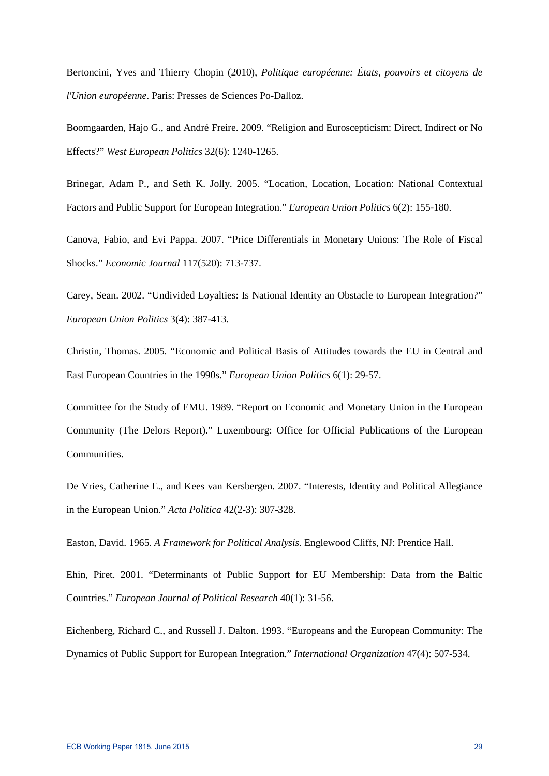Bertoncini, Yves and Thierry Chopin (2010), *Politique européenne: États, pouvoirs et citoyens de l'Union européenne*. Paris: Presses de Sciences Po-Dalloz.

Boomgaarden, Hajo G., and André Freire. 2009. "Religion and Euroscepticism: Direct, Indirect or No Effects?" *West European Politics* 32(6): 1240-1265.

Brinegar, Adam P., and Seth K. Jolly. 2005. "Location, Location, Location: National Contextual Factors and Public Support for European Integration." *European Union Politics* 6(2): 155-180.

Canova, Fabio, and Evi Pappa. 2007. "Price Differentials in Monetary Unions: The Role of Fiscal Shocks." *Economic Journal* 117(520): 713-737.

Carey, Sean. 2002. "Undivided Loyalties: Is National Identity an Obstacle to European Integration?" *European Union Politics* 3(4): 387-413.

Christin, Thomas. 2005. "Economic and Political Basis of Attitudes towards the EU in Central and East European Countries in the 1990s." *European Union Politics* 6(1): 29-57.

Committee for the Study of EMU. 1989. "Report on Economic and Monetary Union in the European Community (The Delors Report)." Luxembourg: Office for Official Publications of the European Communities.

De Vries, Catherine E., and Kees van Kersbergen. 2007. "Interests, Identity and Political Allegiance in the European Union." *Acta Politica* 42(2-3): 307-328.

Easton, David. 1965. *A Framework for Political Analysis*. Englewood Cliffs, NJ: Prentice Hall.

Ehin, Piret. 2001. "Determinants of Public Support for EU Membership: Data from the Baltic Countries." *European Journal of Political Research* 40(1): 31-56.

Eichenberg, Richard C., and Russell J. Dalton. 1993. "Europeans and the European Community: The Dynamics of Public Support for European Integration." *International Organization* 47(4): 507-534.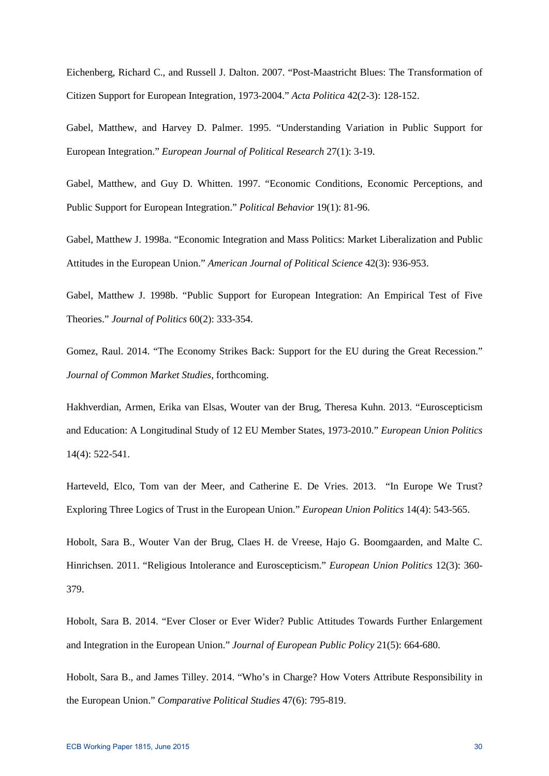Eichenberg, Richard C., and Russell J. Dalton. 2007. "Post-Maastricht Blues: The Transformation of Citizen Support for European Integration, 1973-2004." *Acta Politica* 42(2-3): 128-152.

Gabel, Matthew, and Harvey D. Palmer. 1995. "Understanding Variation in Public Support for European Integration." *European Journal of Political Research* 27(1): 3-19.

Gabel, Matthew, and Guy D. Whitten. 1997. "Economic Conditions, Economic Perceptions, and Public Support for European Integration." *Political Behavior* 19(1): 81-96.

Gabel, Matthew J. 1998a. "Economic Integration and Mass Politics: Market Liberalization and Public Attitudes in the European Union." *American Journal of Political Science* 42(3): 936-953.

Gabel, Matthew J. 1998b. "Public Support for European Integration: An Empirical Test of Five Theories." *Journal of Politics* 60(2): 333-354.

Gomez, Raul. 2014. "The Economy Strikes Back: Support for the EU during the Great Recession." *Journal of Common Market Studies*, forthcoming.

Hakhverdian, Armen, Erika van Elsas, Wouter van der Brug, Theresa Kuhn. 2013. "Euroscepticism and Education: A Longitudinal Study of 12 EU Member States, 1973-2010." *European Union Politics* 14(4): 522-541.

Harteveld, Elco, Tom van der Meer, and Catherine E. De Vries. 2013. "In Europe We Trust? Exploring Three Logics of Trust in the European Union." *European Union Politics* 14(4): 543-565.

Hobolt, Sara B., Wouter Van der Brug, Claes H. de Vreese, Hajo G. Boomgaarden, and Malte C. Hinrichsen. 2011. "Religious Intolerance and Euroscepticism." *European Union Politics* 12(3): 360- 379.

Hobolt, Sara B. 2014. "Ever Closer or Ever Wider? Public Attitudes Towards Further Enlargement and Integration in the European Union." *Journal of European Public Policy* 21(5): 664-680.

Hobolt, Sara B., and James Tilley. 2014. "Who's in Charge? How Voters Attribute Responsibility in the European Union." *Comparative Political Studies* 47(6): 795-819.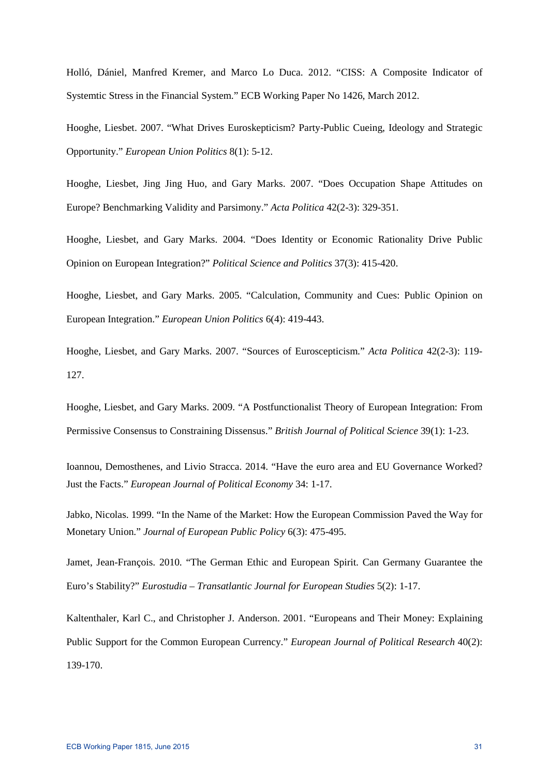Holló, Dániel, Manfred Kremer, and Marco Lo Duca. 2012. "CISS: A Composite Indicator of Systemtic Stress in the Financial System." ECB Working Paper No 1426, March 2012.

Hooghe, Liesbet. 2007. "What Drives Euroskepticism? Party-Public Cueing, Ideology and Strategic Opportunity." *European Union Politics* 8(1): 5-12.

Hooghe, Liesbet, Jing Jing Huo, and Gary Marks. 2007. "Does Occupation Shape Attitudes on Europe? Benchmarking Validity and Parsimony." *Acta Politica* 42(2-3): 329-351.

Hooghe, Liesbet, and Gary Marks. 2004. "Does Identity or Economic Rationality Drive Public Opinion on European Integration?" *Political Science and Politics* 37(3): 415-420.

Hooghe, Liesbet, and Gary Marks. 2005. "Calculation, Community and Cues: Public Opinion on European Integration." *European Union Politics* 6(4): 419-443.

Hooghe, Liesbet, and Gary Marks. 2007. "Sources of Euroscepticism." *Acta Politica* 42(2-3): 119- 127.

Hooghe, Liesbet, and Gary Marks. 2009. "A Postfunctionalist Theory of European Integration: From Permissive Consensus to Constraining Dissensus." *British Journal of Political Science* 39(1): 1-23.

Ioannou, Demosthenes, and Livio Stracca. 2014. "Have the euro area and EU Governance Worked? Just the Facts." *European Journal of Political Economy* 34: 1-17.

Jabko, Nicolas. 1999. "In the Name of the Market: How the European Commission Paved the Way for Monetary Union." *Journal of European Public Policy* 6(3): 475-495.

Jamet, Jean-François. 2010. "The German Ethic and European Spirit. Can Germany Guarantee the Euro's Stability?" *Eurostudia – Transatlantic Journal for European Studies* 5(2): 1-17.

Kaltenthaler, Karl C., and Christopher J. Anderson. 2001. "Europeans and Their Money: Explaining Public Support for the Common European Currency." *European Journal of Political Research* 40(2): 139-170.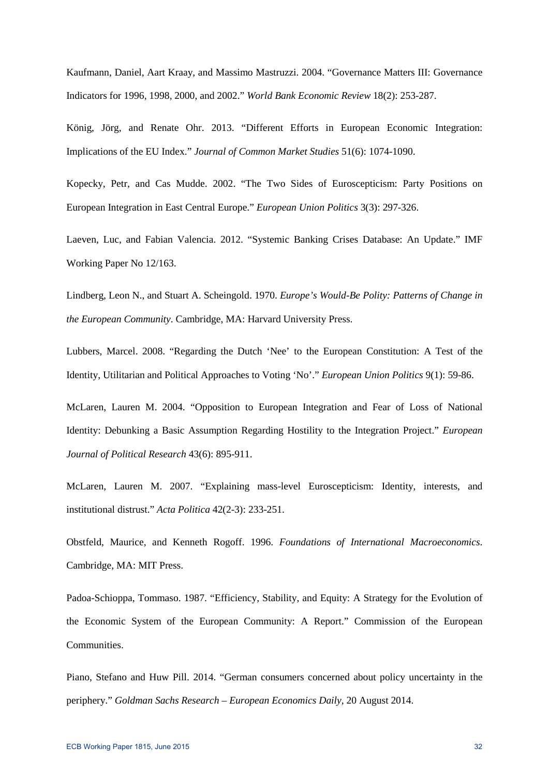Kaufmann, Daniel, Aart Kraay, and Massimo Mastruzzi. 2004. "Governance Matters III: Governance Indicators for 1996, 1998, 2000, and 2002." *World Bank Economic Review* 18(2): 253-287.

König, Jörg, and Renate Ohr. 2013. "Different Efforts in European Economic Integration: Implications of the EU Index." *Journal of Common Market Studies* 51(6): 1074-1090.

Kopecky, Petr, and Cas Mudde. 2002. "The Two Sides of Euroscepticism: Party Positions on European Integration in East Central Europe." *European Union Politics* 3(3): 297-326.

Laeven, Luc, and Fabian Valencia. 2012. "Systemic Banking Crises Database: An Update." IMF Working Paper No 12/163.

Lindberg, Leon N., and Stuart A. Scheingold. 1970. *Europe's Would-Be Polity: Patterns of Change in the European Community*. Cambridge, MA: Harvard University Press.

Lubbers, Marcel. 2008. "Regarding the Dutch 'Nee' to the European Constitution: A Test of the Identity, Utilitarian and Political Approaches to Voting 'No'." *European Union Politics* 9(1): 59-86.

McLaren, Lauren M. 2004. "Opposition to European Integration and Fear of Loss of National Identity: Debunking a Basic Assumption Regarding Hostility to the Integration Project." *European Journal of Political Research* 43(6): 895-911.

McLaren, Lauren M. 2007. "Explaining mass-level Euroscepticism: Identity, interests, and institutional distrust." *Acta Politica* 42(2-3): 233-251.

Obstfeld, Maurice, and Kenneth Rogoff. 1996. *Foundations of International Macroeconomics*. Cambridge, MA: MIT Press.

Padoa-Schioppa, Tommaso. 1987. "Efficiency, Stability, and Equity: A Strategy for the Evolution of the Economic System of the European Community: A Report." Commission of the European Communities.

Piano, Stefano and Huw Pill. 2014. "German consumers concerned about policy uncertainty in the periphery." *Goldman Sachs Research – European Economics Daily,* 20 August 2014.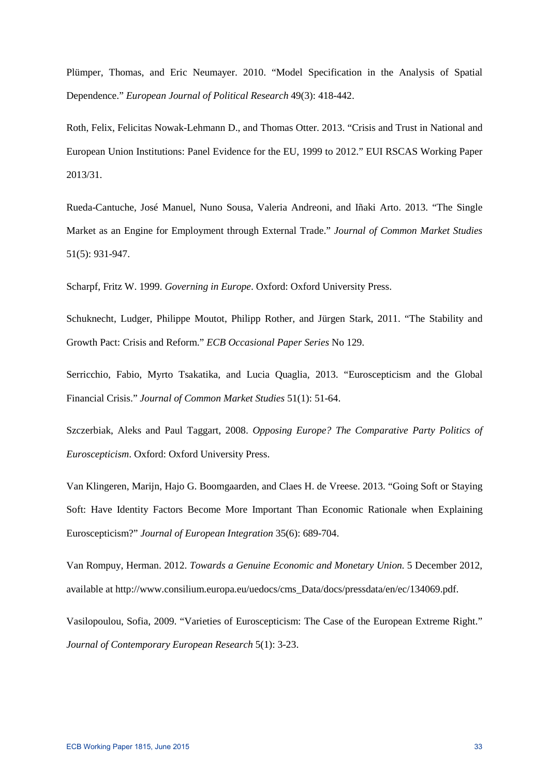Plümper, Thomas, and Eric Neumayer. 2010. "Model Specification in the Analysis of Spatial Dependence." *European Journal of Political Research* 49(3): 418-442.

Roth, Felix, Felicitas Nowak-Lehmann D., and Thomas Otter. 2013. "Crisis and Trust in National and European Union Institutions: Panel Evidence for the EU, 1999 to 2012." EUI RSCAS Working Paper 2013/31.

Rueda-Cantuche, José Manuel, Nuno Sousa, Valeria Andreoni, and Iñaki Arto. 2013. "The Single Market as an Engine for Employment through External Trade." *Journal of Common Market Studies* 51(5): 931-947.

Scharpf, Fritz W. 1999. *Governing in Europe*. Oxford: Oxford University Press.

Schuknecht, Ludger, Philippe Moutot, Philipp Rother, and Jürgen Stark, 2011. "The Stability and Growth Pact: Crisis and Reform." *ECB Occasional Paper Series* No 129.

Serricchio, Fabio, Myrto Tsakatika, and Lucia Quaglia, 2013. "Euroscepticism and the Global Financial Crisis." *Journal of Common Market Studies* 51(1): 51-64.

Szczerbiak, Aleks and Paul Taggart, 2008. *Opposing Europe? The Comparative Party Politics of Euroscepticism*. Oxford: Oxford University Press.

Van Klingeren, Marijn, Hajo G. Boomgaarden, and Claes H. de Vreese. 2013. "Going Soft or Staying Soft: Have Identity Factors Become More Important Than Economic Rationale when Explaining Euroscepticism?" *Journal of European Integration* 35(6): 689-704.

Van Rompuy, Herman. 2012. *Towards a Genuine Economic and Monetary Union*. 5 December 2012, available at http://www.consilium.europa.eu/uedocs/cms\_Data/docs/pressdata/en/ec/134069.pdf.

Vasilopoulou, Sofia, 2009. "Varieties of Euroscepticism: The Case of the European Extreme Right." *Journal of Contemporary European Research* 5(1): 3-23.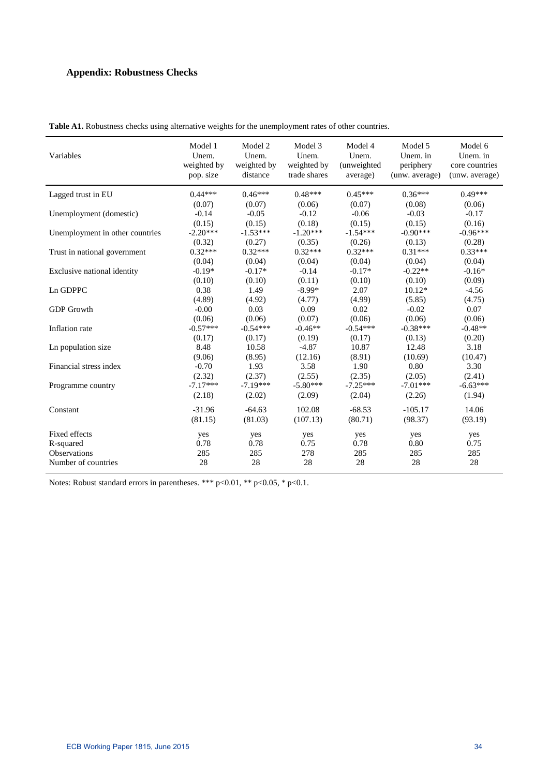# **Appendix: Robustness Checks**

| Variables                       | Model 1<br>Unem.<br>weighted by<br>pop. size | Model 2<br>Unem.<br>weighted by<br>distance | Model 3<br>Unem.<br>weighted by<br>trade shares | Model 4<br>Unem.<br>(unweighted<br>average) | Model 5<br>Unem. in<br>periphery<br>(unw. average) | Model 6<br>Unem. in<br>core countries<br>(unw. average) |
|---------------------------------|----------------------------------------------|---------------------------------------------|-------------------------------------------------|---------------------------------------------|----------------------------------------------------|---------------------------------------------------------|
| Lagged trust in EU              | $0.44***$                                    | $0.46***$                                   | $0.48***$                                       | $0.45***$                                   | $0.36***$                                          | $0.49***$                                               |
|                                 | (0.07)                                       | (0.07)                                      | (0.06)                                          | (0.07)                                      | (0.08)                                             | (0.06)                                                  |
| Unemployment (domestic)         | $-0.14$                                      | $-0.05$                                     | $-0.12$                                         | $-0.06$                                     | $-0.03$                                            | $-0.17$                                                 |
|                                 | (0.15)                                       | (0.15)                                      | (0.18)                                          | (0.15)                                      | (0.15)                                             | (0.16)                                                  |
| Unemployment in other countries | $-2.20***$                                   | $-1.53***$                                  | $-1.20***$                                      | $-1.54***$                                  | $-0.90***$                                         | $-0.96***$                                              |
|                                 | (0.32)                                       | (0.27)                                      | (0.35)                                          | (0.26)                                      | (0.13)                                             | (0.28)                                                  |
| Trust in national government    | $0.32***$                                    | $0.32***$                                   | $0.32***$                                       | $0.32***$                                   | $0.31***$                                          | $0.33***$                                               |
|                                 | (0.04)                                       | (0.04)                                      | (0.04)                                          | (0.04)                                      | (0.04)                                             | (0.04)                                                  |
| Exclusive national identity     | $-0.19*$                                     | $-0.17*$                                    | $-0.14$                                         | $-0.17*$                                    | $-0.22**$                                          | $-0.16*$                                                |
|                                 | (0.10)                                       | (0.10)                                      | (0.11)                                          | (0.10)                                      | (0.10)                                             | (0.09)                                                  |
| Ln GDPPC                        | 0.38                                         | 1.49                                        | $-8.99*$                                        | 2.07                                        | $10.12*$                                           | $-4.56$                                                 |
|                                 | (4.89)                                       | (4.92)                                      | (4.77)                                          | (4.99)                                      | (5.85)                                             | (4.75)                                                  |
| <b>GDP</b> Growth               | $-0.00$                                      | 0.03                                        | 0.09                                            | 0.02                                        | $-0.02$                                            | 0.07                                                    |
|                                 | (0.06)                                       | (0.06)                                      | (0.07)                                          | (0.06)                                      | (0.06)                                             | (0.06)                                                  |
| Inflation rate                  | $-0.57***$                                   | $-0.54***$                                  | $-0.46**$                                       | $-0.54***$                                  | $-0.38***$                                         | $-0.48**$                                               |
|                                 | (0.17)                                       | (0.17)                                      | (0.19)                                          | (0.17)                                      | (0.13)                                             | (0.20)                                                  |
| Ln population size              | 8.48                                         | 10.58                                       | $-4.87$                                         | 10.87                                       | 12.48                                              | 3.18                                                    |
|                                 | (9.06)                                       | (8.95)                                      | (12.16)                                         | (8.91)                                      | (10.69)                                            | (10.47)                                                 |
| Financial stress index          | $-0.70$                                      | 1.93                                        | 3.58                                            | 1.90                                        | 0.80                                               | 3.30                                                    |
|                                 | (2.32)                                       | (2.37)                                      | (2.55)                                          | (2.35)                                      | (2.05)                                             | (2.41)                                                  |
| Programme country               | $-7.17***$                                   | $-7.19***$                                  | $-5.80***$                                      | $-7.25***$                                  | $-7.01***$                                         | $-6.63***$                                              |
|                                 | (2.18)                                       | (2.02)                                      | (2.09)                                          | (2.04)                                      | (2.26)                                             | (1.94)                                                  |
| Constant                        | $-31.96$                                     | $-64.63$                                    | 102.08                                          | $-68.53$                                    | $-105.17$                                          | 14.06                                                   |
|                                 | (81.15)                                      | (81.03)                                     | (107.13)                                        | (80.71)                                     | (98.37)                                            | (93.19)                                                 |
| Fixed effects                   | yes                                          | yes                                         | yes                                             | yes                                         | yes                                                | yes                                                     |
| R-squared                       | 0.78                                         | 0.78                                        | 0.75                                            | 0.78                                        | 0.80                                               | 0.75                                                    |
| <b>Observations</b>             | 285                                          | 285                                         | 278                                             | 285                                         | 285                                                | 285                                                     |
| Number of countries             | 28                                           | 28                                          | 28                                              | 28                                          | 28                                                 | 28                                                      |

Table A1. Robustness checks using alternative weights for the unemployment rates of other countries.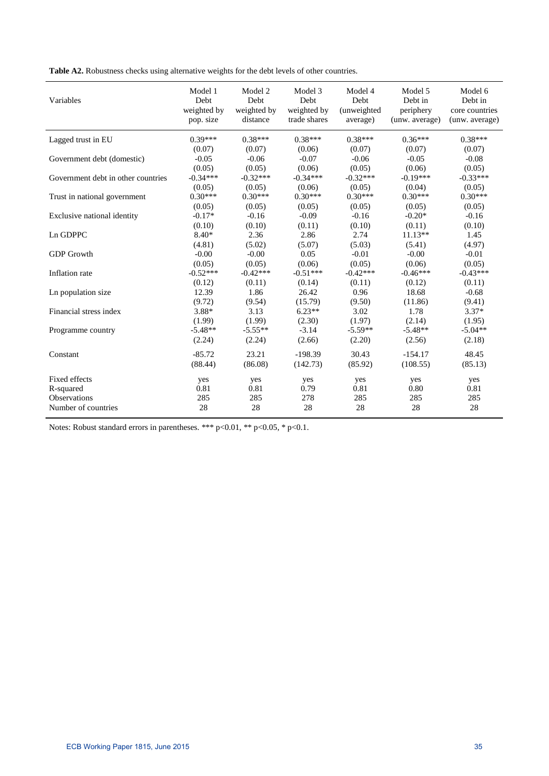**Table A2.** Robustness checks using alternative weights for the debt levels of other countries.

| Variables                          | Model 1<br>Debt<br>weighted by<br>pop. size | Model 2<br>Debt<br>weighted by<br>distance | Model 3<br>Debt<br>weighted by<br>trade shares | Model 4<br>Debt<br>(unweighted<br>average) | Model 5<br>Debt in<br>periphery<br>(unw. average) | Model 6<br>Debt in<br>core countries<br>(unw. average) |
|------------------------------------|---------------------------------------------|--------------------------------------------|------------------------------------------------|--------------------------------------------|---------------------------------------------------|--------------------------------------------------------|
| Lagged trust in EU                 | $0.39***$                                   | $0.38***$                                  | $0.38***$                                      | $0.38***$                                  | $0.36***$                                         | $0.38***$                                              |
|                                    | (0.07)                                      | (0.07)                                     | (0.06)                                         | (0.07)                                     | (0.07)                                            | (0.07)                                                 |
| Government debt (domestic)         | $-0.05$                                     | $-0.06$                                    | $-0.07$                                        | $-0.06$                                    | $-0.05$                                           | $-0.08$                                                |
|                                    | (0.05)                                      | (0.05)                                     | (0.06)                                         | (0.05)                                     | (0.06)                                            | (0.05)                                                 |
| Government debt in other countries | $-0.34***$                                  | $-0.32***$                                 | $-0.34***$                                     | $-0.32***$                                 | $-0.19***$                                        | $-0.33***$                                             |
|                                    | (0.05)                                      | (0.05)                                     | (0.06)                                         | (0.05)                                     | (0.04)                                            | (0.05)                                                 |
| Trust in national government       | $0.30***$                                   | $0.30***$                                  | $0.30***$                                      | $0.30***$                                  | $0.30***$                                         | $0.30***$                                              |
|                                    | (0.05)                                      | (0.05)                                     | (0.05)                                         | (0.05)                                     | (0.05)                                            | (0.05)                                                 |
| Exclusive national identity        | $-0.17*$                                    | $-0.16$                                    | $-0.09$                                        | $-0.16$                                    | $-0.20*$                                          | $-0.16$                                                |
|                                    | (0.10)                                      | (0.10)                                     | (0.11)                                         | (0.10)                                     | (0.11)                                            | (0.10)                                                 |
| Ln GDPPC                           | $8.40*$                                     | 2.36                                       | 2.86                                           | 2.74                                       | $11.13**$                                         | 1.45                                                   |
|                                    | (4.81)                                      | (5.02)                                     | (5.07)                                         | (5.03)                                     | (5.41)                                            | (4.97)                                                 |
| <b>GDP</b> Growth                  | $-0.00$                                     | $-0.00$                                    | 0.05                                           | $-0.01$                                    | $-0.00$                                           | $-0.01$                                                |
|                                    | (0.05)                                      | (0.05)                                     | (0.06)                                         | (0.05)                                     | (0.06)                                            | (0.05)                                                 |
| Inflation rate                     | $-0.52***$                                  | $-0.42***$                                 | $-0.51***$                                     | $-0.42***$                                 | $-0.46***$                                        | $-0.43***$                                             |
|                                    | (0.12)                                      | (0.11)                                     | (0.14)                                         | (0.11)                                     | (0.12)                                            | (0.11)                                                 |
| Ln population size                 | 12.39                                       | 1.86                                       | 26.42                                          | 0.96                                       | 18.68                                             | $-0.68$                                                |
|                                    | (9.72)                                      | (9.54)                                     | (15.79)                                        | (9.50)                                     | (11.86)                                           | (9.41)                                                 |
| Financial stress index             | 3.88*                                       | 3.13                                       | $6.23**$                                       | 3.02                                       | 1.78                                              | $3.37*$                                                |
|                                    | (1.99)                                      | (1.99)                                     | (2.30)                                         | (1.97)                                     | (2.14)                                            | (1.95)                                                 |
| Programme country                  | $-5.48**$                                   | $-5.55**$                                  | $-3.14$                                        | $-5.59**$                                  | $-5.48**$                                         | $-5.04**$                                              |
|                                    | (2.24)                                      | (2.24)                                     | (2.66)                                         | (2.20)                                     | (2.56)                                            | (2.18)                                                 |
| Constant                           | $-85.72$                                    | 23.21                                      | $-198.39$                                      | 30.43                                      | $-154.17$                                         | 48.45                                                  |
|                                    | (88.44)                                     | (86.08)                                    | (142.73)                                       | (85.92)                                    | (108.55)                                          | (85.13)                                                |
| Fixed effects                      | yes                                         | yes                                        | yes                                            | yes                                        | yes                                               | yes                                                    |
| R-squared                          | 0.81                                        | 0.81                                       | 0.79                                           | 0.81                                       | 0.80                                              | 0.81                                                   |
| <b>Observations</b>                | 285                                         | 285                                        | 278                                            | 285                                        | 285                                               | 285                                                    |
| Number of countries                | 28                                          | 28                                         | 28                                             | 28                                         | 28                                                | 28                                                     |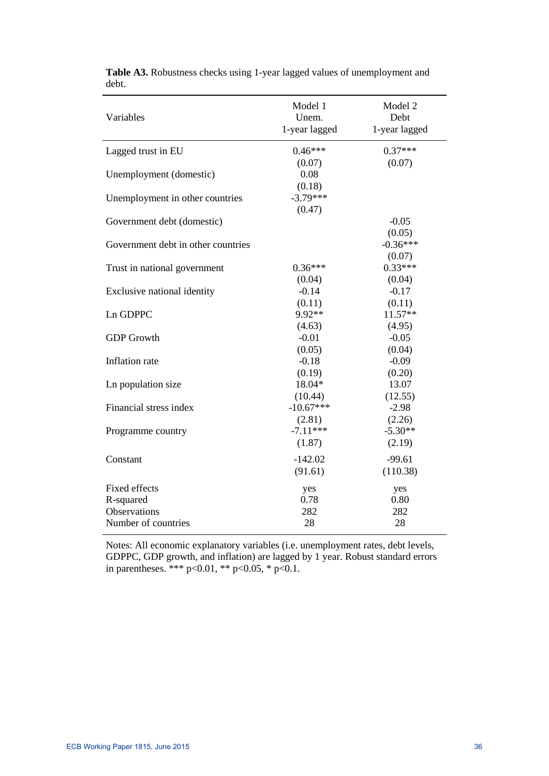| Variables                          | Model 1<br>Unem. | Model 2<br>Debt |
|------------------------------------|------------------|-----------------|
|                                    | 1-year lagged    | 1-year lagged   |
| Lagged trust in EU                 | $0.46***$        | $0.37***$       |
|                                    | (0.07)           | (0.07)          |
| Unemployment (domestic)            | 0.08             |                 |
|                                    | (0.18)           |                 |
| Unemployment in other countries    | $-3.79***$       |                 |
|                                    | (0.47)           |                 |
| Government debt (domestic)         |                  | $-0.05$         |
|                                    |                  | (0.05)          |
| Government debt in other countries |                  | $-0.36***$      |
|                                    |                  | (0.07)          |
| Trust in national government       | $0.36***$        | $0.33***$       |
|                                    | (0.04)           | (0.04)          |
| Exclusive national identity        | $-0.14$          | $-0.17$         |
|                                    | (0.11)           | (0.11)          |
| Ln GDPPC                           | 9.92**           | 11.57**         |
|                                    | (4.63)           | (4.95)          |
| <b>GDP</b> Growth                  | $-0.01$          | $-0.05$         |
|                                    | (0.05)           | (0.04)          |
| Inflation rate                     | $-0.18$          | $-0.09$         |
|                                    | (0.19)           | (0.20)          |
| Ln population size                 | 18.04*           | 13.07           |
|                                    | (10.44)          | (12.55)         |
| Financial stress index             | $-10.67***$      | $-2.98$         |
|                                    | (2.81)           | (2.26)          |
| Programme country                  | $-7.11***$       | $-5.30**$       |
|                                    | (1.87)           | (2.19)          |
| Constant                           | $-142.02$        | $-99.61$        |
|                                    | (91.61)          | (110.38)        |
| Fixed effects                      | yes              | yes             |
| R-squared                          | 0.78             | 0.80            |
| Observations                       | 282              | 282             |
| Number of countries                | 28               | 28              |
|                                    |                  |                 |

**Table A3.** Robustness checks using 1-year lagged values of unemployment and debt.

Notes: All economic explanatory variables (i.e. unemployment rates, debt levels, GDPPC, GDP growth, and inflation) are lagged by 1 year. Robust standard errors in parentheses. \*\*\* p<0.01, \*\* p<0.05, \* p<0.1.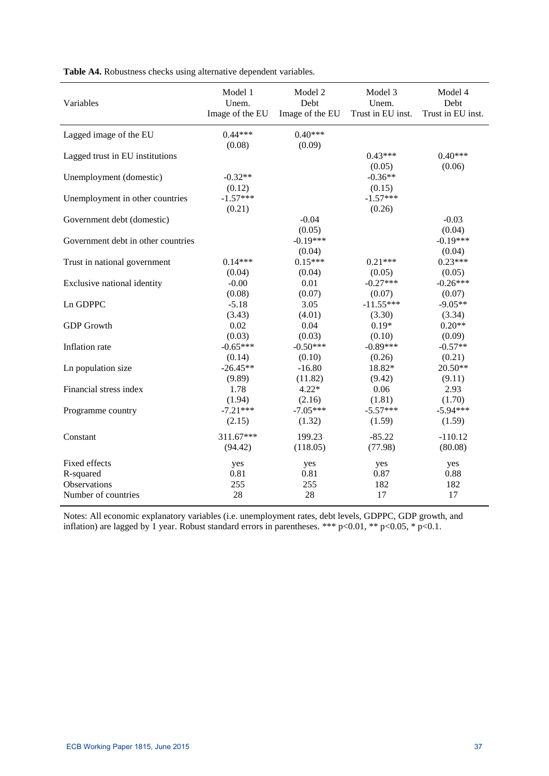| Variables                          | Model 1              | Model 2              | Model 3              | Model 4              |
|------------------------------------|----------------------|----------------------|----------------------|----------------------|
|                                    | Unem.                | Debt                 | Unem.                | Debt                 |
|                                    | Image of the EU      | Image of the EU      | Trust in EU inst.    | Trust in EU inst.    |
| Lagged image of the EU             | $0.44***$            | $0.40***$            |                      |                      |
| Lagged trust in EU institutions    | (0.08)               | (0.09)               | $0.43***$<br>(0.05)  | $0.40***$<br>(0.06)  |
| Unemployment (domestic)            | $-0.32**$<br>(0.12)  |                      | $-0.36**$<br>(0.15)  |                      |
| Unemployment in other countries    | $-1.57***$<br>(0.21) |                      | $-1.57***$<br>(0.26) |                      |
| Government debt (domestic)         |                      | $-0.04$<br>(0.05)    |                      | $-0.03$<br>(0.04)    |
| Government debt in other countries |                      | $-0.19***$<br>(0.04) |                      | $-0.19***$<br>(0.04) |
| Trust in national government       | $0.14***$            | $0.15***$            | $0.21***$            | $0.23***$            |
|                                    | (0.04)               | (0.04)               | (0.05)               | (0.05)               |
| Exclusive national identity        | $-0.00$              | 0.01                 | $-0.27***$           | $-0.26***$           |
|                                    | (0.08)               | (0.07)               | (0.07)               | (0.07)               |
| Ln GDPPC                           | $-5.18$              | 3.05                 | $-11.55***$          | $-9.05**$            |
|                                    | (3.43)               | (4.01)               | (3.30)               | (3.34)               |
| <b>GDP</b> Growth                  | 0.02                 | 0.04                 | $0.19*$              | $0.20**$             |
|                                    | (0.03)               | (0.03)               | (0.10)               | (0.09)               |
| Inflation rate                     | $-0.65***$           | $-0.50***$           | $-0.89***$           | $-0.57**$            |
|                                    | (0.14)               | (0.10)               | (0.26)               | (0.21)               |
| Ln population size                 | $-26.45**$           | $-16.80$             | 18.82*               | 20.50**              |
|                                    | (9.89)               | (11.82)              | (9.42)               | (9.11)               |
| Financial stress index             | 1.78                 | $4.22*$              | 0.06                 | 2.93                 |
|                                    | (1.94)               | (2.16)               | (1.81)               | (1.70)               |
| Programme country                  | $-7.21***$           | $-7.05***$           | $-5.57***$           | $-5.94***$           |
|                                    | (2.15)               | (1.32)               | (1.59)               | (1.59)               |
| Constant                           | 311.67***            | 199.23               | $-85.22$             | $-110.12$            |
|                                    | (94.42)              | (118.05)             | (77.98)              | (80.08)              |
| Fixed effects                      | yes                  | yes                  | yes                  | yes                  |
| R-squared                          | 0.81                 | 0.81                 | 0.87                 | 0.88                 |
| Observations                       | 255                  | 255                  | 182                  | 182                  |
| Number of countries                | 28                   | 28                   | 17                   | 17                   |

**Table A4.** Robustness checks using alternative dependent variables.

Notes: All economic explanatory variables (i.e. unemployment rates, debt levels, GDPPC, GDP growth, and inflation) are lagged by 1 year. Robust standard errors in parentheses. \*\*\* p<0.01, \*\* p<0.05, \* p<0.1.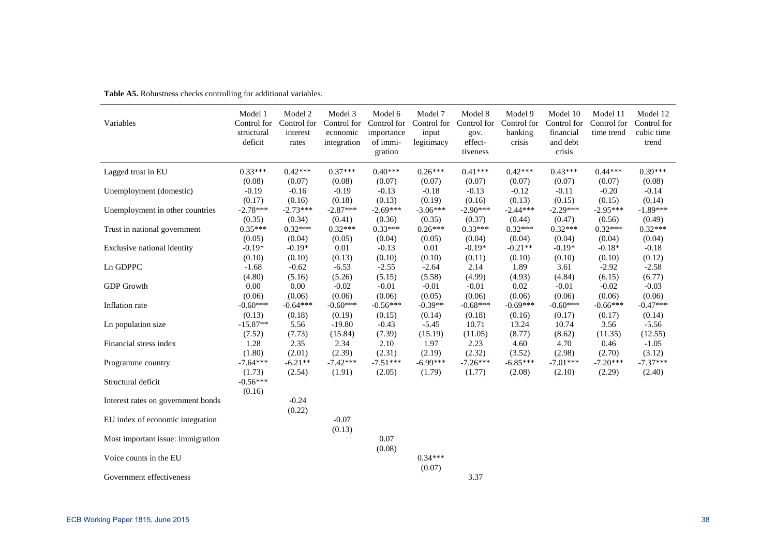| Variables                          | Model 1<br>Control for<br>structural<br>deficit | Model 2<br>Control for<br>interest<br>rates | Model 3<br>Control for<br>economic<br>integration | Model 6<br>Control for<br>importance<br>of immi-<br>gration | Model 7<br>Control for<br>input<br>legitimacy | Model 8<br>Control for<br>gov.<br>effect-<br>tiveness | Model 9<br>Control for<br>banking<br>crisis | Model 10<br>Control for<br>financial<br>and debt<br>crisis | Model 11<br>Control for<br>time trend | Model 12<br>Control for<br>cubic time<br>trend |
|------------------------------------|-------------------------------------------------|---------------------------------------------|---------------------------------------------------|-------------------------------------------------------------|-----------------------------------------------|-------------------------------------------------------|---------------------------------------------|------------------------------------------------------------|---------------------------------------|------------------------------------------------|
| Lagged trust in EU                 | $0.33***$                                       | $0.42***$                                   | $0.37***$                                         | $0.40***$                                                   | $0.26***$                                     | $0.41***$                                             | $0.42***$                                   | $0.43***$                                                  | $0.44***$                             | $0.39***$                                      |
|                                    | (0.08)                                          | (0.07)                                      | (0.08)                                            | (0.07)                                                      | (0.07)                                        | (0.07)                                                | (0.07)                                      | (0.07)                                                     | (0.07)                                | (0.08)                                         |
| Unemployment (domestic)            | $-0.19$                                         | $-0.16$                                     | $-0.19$                                           | $-0.13$                                                     | $-0.18$                                       | $-0.13$                                               | $-0.12$                                     | $-0.11$                                                    | $-0.20$                               | $-0.14$                                        |
|                                    | (0.17)                                          | (0.16)                                      | (0.18)                                            | (0.13)                                                      | (0.19)                                        | (0.16)                                                | (0.13)                                      | (0.15)                                                     | (0.15)                                | (0.14)                                         |
| Unemployment in other countries    | $-2.78***$                                      | $-2.73***$                                  | $-2.87***$                                        | $-2.69***$                                                  | $-3.06***$                                    | $-2.90***$                                            | $-2.44***$                                  | $-2.29***$                                                 | $-2.95***$                            | $-1.89***$                                     |
|                                    | (0.35)                                          | (0.34)                                      | (0.41)                                            | (0.36)                                                      | (0.35)                                        | (0.37)                                                | (0.44)                                      | (0.47)                                                     | (0.56)                                | (0.49)                                         |
| Trust in national government       | $0.35***$                                       | $0.32***$                                   | $0.32***$                                         | $0.33***$                                                   | $0.26***$                                     | $0.33***$                                             | $0.32***$                                   | $0.32***$                                                  | $0.32***$                             | $0.32***$                                      |
|                                    | (0.05)                                          | (0.04)                                      | (0.05)                                            | (0.04)                                                      | (0.05)                                        | (0.04)                                                | (0.04)                                      | (0.04)                                                     | (0.04)                                | (0.04)                                         |
| Exclusive national identity        | $-0.19*$                                        | $-0.19*$                                    | 0.01                                              | $-0.13$                                                     | 0.01                                          | $-0.19*$                                              | $-0.21**$                                   | $-0.19*$                                                   | $-0.18*$                              | $-0.18$                                        |
|                                    | (0.10)                                          | (0.10)                                      | (0.13)                                            | (0.10)                                                      | (0.10)                                        | (0.11)                                                | (0.10)                                      | (0.10)                                                     | (0.10)                                | (0.12)                                         |
| Ln GDPPC                           | $-1.68$                                         | $-0.62$                                     | $-6.53$                                           | $-2.55$                                                     | $-2.64$                                       | 2.14                                                  | 1.89                                        | 3.61                                                       | $-2.92$                               | $-2.58$                                        |
|                                    | (4.80)                                          | (5.16)                                      | (5.26)                                            | (5.15)                                                      | (5.58)                                        | (4.99)                                                | (4.93)                                      | (4.84)                                                     | (6.15)                                | (6.77)                                         |
| <b>GDP</b> Growth                  | 0.00                                            | 0.00                                        | $-0.02$                                           | $-0.01$                                                     | $-0.01$                                       | $-0.01$                                               | 0.02                                        | $-0.01$                                                    | $-0.02$                               | $-0.03$                                        |
|                                    | (0.06)                                          | (0.06)                                      | (0.06)                                            | (0.06)                                                      | (0.05)                                        | (0.06)                                                | (0.06)                                      | (0.06)                                                     | (0.06)                                | (0.06)                                         |
| Inflation rate                     | $-0.60***$                                      | $-0.64***$                                  | $-0.60***$                                        | $-0.56***$                                                  | $-0.39**$                                     | $-0.68***$                                            | $-0.69***$                                  | $-0.60***$                                                 | $-0.66***$                            | $-0.47***$                                     |
|                                    | (0.13)                                          | (0.18)                                      | (0.19)                                            | (0.15)                                                      | (0.14)                                        | (0.18)                                                | (0.16)                                      | (0.17)                                                     | (0.17)                                | (0.14)                                         |
| Ln population size                 | $-15.87**$                                      | 5.56                                        | $-19.80$                                          | $-0.43$                                                     | $-5.45$                                       | 10.71                                                 | 13.24                                       | 10.74                                                      | 3.56                                  | $-5.56$                                        |
|                                    | (7.52)                                          | (7.73)                                      | (15.84)                                           | (7.39)                                                      | (15.19)                                       | (11.05)                                               | (8.77)                                      | (8.62)                                                     | (11.35)                               | (12.55)                                        |
| Financial stress index             | 1.28                                            | 2.35                                        | 2.34                                              | 2.10                                                        | 1.97                                          | 2.23                                                  | 4.60                                        | 4.70                                                       | 0.46                                  | $-1.05$                                        |
|                                    | (1.80)                                          | (2.01)                                      | (2.39)                                            | (2.31)                                                      | (2.19)                                        | (2.32)                                                | (3.52)                                      | (2.98)                                                     | (2.70)                                | (3.12)                                         |
| Programme country                  | $-7.64***$                                      | $-6.21**$                                   | $-7.42***$                                        | $-7.51***$                                                  | $-6.99***$                                    | $-7.26***$                                            | $-6.85***$                                  | $-7.01***$                                                 | $-7.20***$                            | $-7.37***$                                     |
|                                    | (1.73)                                          | (2.54)                                      | (1.91)                                            | (2.05)                                                      | (1.79)                                        | (1.77)                                                | (2.08)                                      | (2.10)                                                     | (2.29)                                | (2.40)                                         |
| Structural deficit                 | $-0.56***$                                      |                                             |                                                   |                                                             |                                               |                                                       |                                             |                                                            |                                       |                                                |
|                                    | (0.16)                                          |                                             |                                                   |                                                             |                                               |                                                       |                                             |                                                            |                                       |                                                |
| Interest rates on government bonds |                                                 | $-0.24$                                     |                                                   |                                                             |                                               |                                                       |                                             |                                                            |                                       |                                                |
|                                    |                                                 | (0.22)                                      |                                                   |                                                             |                                               |                                                       |                                             |                                                            |                                       |                                                |
| EU index of economic integration   |                                                 |                                             | $-0.07$                                           |                                                             |                                               |                                                       |                                             |                                                            |                                       |                                                |
|                                    |                                                 |                                             | (0.13)                                            |                                                             |                                               |                                                       |                                             |                                                            |                                       |                                                |
| Most important issue: immigration  |                                                 |                                             |                                                   | 0.07                                                        |                                               |                                                       |                                             |                                                            |                                       |                                                |
|                                    |                                                 |                                             |                                                   | (0.08)                                                      |                                               |                                                       |                                             |                                                            |                                       |                                                |
| Voice counts in the EU             |                                                 |                                             |                                                   |                                                             | $0.34***$                                     |                                                       |                                             |                                                            |                                       |                                                |
|                                    |                                                 |                                             |                                                   |                                                             | (0.07)                                        |                                                       |                                             |                                                            |                                       |                                                |
| Government effectiveness           |                                                 |                                             |                                                   |                                                             |                                               | 3.37                                                  |                                             |                                                            |                                       |                                                |

**Table A5.** Robustness checks controlling for additional variables.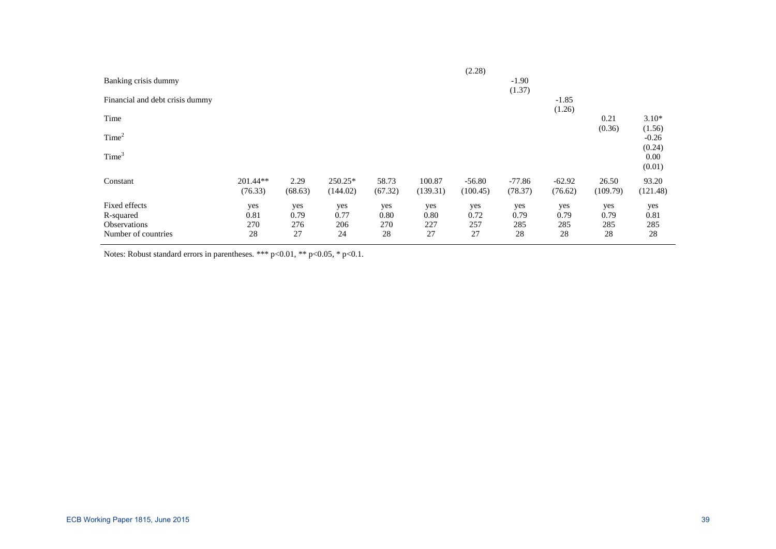| Banking crisis dummy                                              |                          |                          |                          |                          |                          | (2.28)                   | $-1.90$<br>(1.37)        |                          |                          |                          |
|-------------------------------------------------------------------|--------------------------|--------------------------|--------------------------|--------------------------|--------------------------|--------------------------|--------------------------|--------------------------|--------------------------|--------------------------|
| Financial and debt crisis dummy                                   |                          |                          |                          |                          |                          |                          |                          | $-1.85$<br>(1.26)        |                          |                          |
| Time                                                              |                          |                          |                          |                          |                          |                          |                          |                          | 0.21<br>(0.36)           | $3.10*$<br>(1.56)        |
| Time <sup>2</sup>                                                 |                          |                          |                          |                          |                          |                          |                          |                          |                          | $-0.26$<br>(0.24)        |
| Time <sup>3</sup>                                                 |                          |                          |                          |                          |                          |                          |                          |                          |                          | 0.00<br>(0.01)           |
| Constant                                                          | 201.44**<br>(76.33)      | 2.29<br>(68.63)          | 250.25*<br>(144.02)      | 58.73<br>(67.32)         | 100.87<br>(139.31)       | $-56.80$<br>(100.45)     | $-77.86$<br>(78.37)      | $-62.92$<br>(76.62)      | 26.50<br>(109.79)        | 93.20<br>(121.48)        |
| Fixed effects<br>R-squared<br>Observations<br>Number of countries | yes<br>0.81<br>270<br>28 | yes<br>0.79<br>276<br>27 | yes<br>0.77<br>206<br>24 | yes<br>0.80<br>270<br>28 | yes<br>0.80<br>227<br>27 | yes<br>0.72<br>257<br>27 | yes<br>0.79<br>285<br>28 | yes<br>0.79<br>285<br>28 | yes<br>0.79<br>285<br>28 | yes<br>0.81<br>285<br>28 |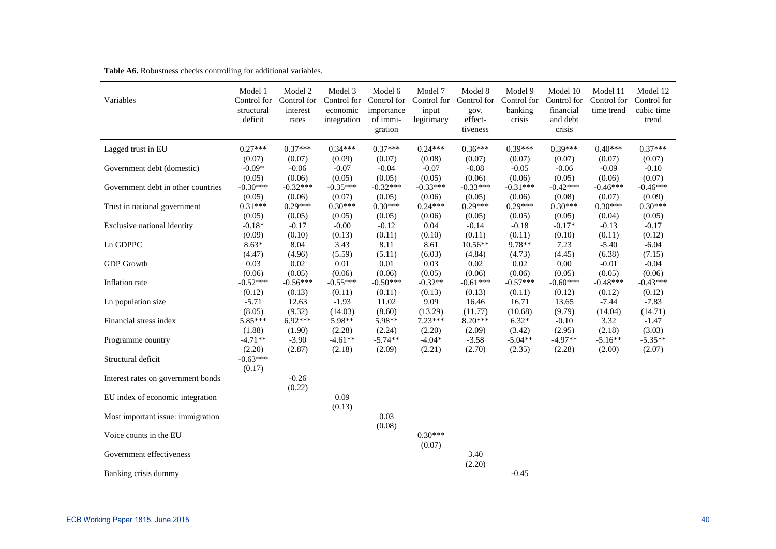| Variables                          | Model 1<br>Control for<br>structural<br>deficit | Model 2<br>Control for<br>interest<br>rates | Model 3<br>Control for<br>economic<br>integration | Model 6<br>Control for<br>importance<br>of immi-<br>gration | Model 7<br>Control for<br>input<br>legitimacy | Model 8<br>Control for<br>gov.<br>effect-<br>tiveness | Model 9<br>Control for<br>banking<br>crisis | Model 10<br>Control for<br>financial<br>and debt<br>crisis | Model 11<br>Control for<br>time trend | Model 12<br>Control for<br>cubic time<br>trend |
|------------------------------------|-------------------------------------------------|---------------------------------------------|---------------------------------------------------|-------------------------------------------------------------|-----------------------------------------------|-------------------------------------------------------|---------------------------------------------|------------------------------------------------------------|---------------------------------------|------------------------------------------------|
| Lagged trust in EU                 | $0.27***$                                       | $0.37***$                                   | $0.34***$                                         | $0.37***$                                                   | $0.24***$                                     | $0.36***$                                             | $0.39***$                                   | $0.39***$                                                  | $0.40***$                             | $0.37***$                                      |
| Government debt (domestic)         | (0.07)                                          | (0.07)                                      | (0.09)                                            | (0.07)                                                      | (0.08)                                        | (0.07)                                                | (0.07)                                      | (0.07)                                                     | (0.07)                                | (0.07)                                         |
|                                    | $-0.09*$                                        | $-0.06$                                     | $-0.07$                                           | $-0.04$                                                     | $-0.07$                                       | $-0.08$                                               | $-0.05$                                     | $-0.06$                                                    | $-0.09$                               | $-0.10$                                        |
|                                    | (0.05)                                          | (0.06)                                      | (0.05)                                            | (0.05)                                                      | (0.05)                                        | (0.06)                                                | (0.06)                                      | (0.05)                                                     | (0.06)                                | (0.07)                                         |
| Government debt in other countries | $-0.30***$                                      | $-0.32***$                                  | $-0.35***$                                        | $-0.32***$                                                  | $-0.33***$                                    | $-0.33***$                                            | $-0.31***$                                  | $-0.42***$                                                 | $-0.46***$                            | $-0.46***$                                     |
|                                    | (0.05)                                          | (0.06)                                      | (0.07)                                            | (0.05)                                                      | (0.06)                                        | (0.05)                                                | (0.06)                                      | (0.08)                                                     | (0.07)                                | (0.09)                                         |
| Trust in national government       | $0.31***$                                       | $0.29***$                                   | $0.30***$                                         | $0.30***$                                                   | $0.24***$                                     | $0.29***$                                             | $0.29***$                                   | $0.30***$                                                  | $0.30***$                             | $0.30***$                                      |
|                                    | (0.05)                                          | (0.05)                                      | (0.05)                                            | (0.05)                                                      | (0.06)                                        | (0.05)                                                | (0.05)                                      | (0.05)                                                     | (0.04)                                | (0.05)                                         |
| Exclusive national identity        | $-0.18*$                                        | $-0.17$                                     | $-0.00$                                           | $-0.12$                                                     | 0.04                                          | $-0.14$                                               | $-0.18$                                     | $-0.17*$                                                   | $-0.13$                               | $-0.17$                                        |
|                                    | (0.09)                                          | (0.10)                                      | (0.13)                                            | (0.11)                                                      | (0.10)                                        | (0.11)                                                | (0.11)                                      | (0.10)                                                     | (0.11)                                | (0.12)                                         |
| Ln GDPPC                           | $8.63*$                                         | 8.04                                        | 3.43                                              | 8.11                                                        | 8.61                                          | $10.56**$                                             | 9.78**                                      | 7.23                                                       | $-5.40$                               | $-6.04$                                        |
|                                    | (4.47)                                          | (4.96)                                      | (5.59)                                            | (5.11)                                                      | (6.03)                                        | (4.84)                                                | (4.73)                                      | (4.45)                                                     | (6.38)                                | (7.15)                                         |
| <b>GDP</b> Growth                  | 0.03                                            | 0.02                                        | 0.01                                              | 0.01                                                        | 0.03                                          | 0.02                                                  | 0.02                                        | 0.00                                                       | $-0.01$                               | $-0.04$                                        |
|                                    | (0.06)                                          | (0.05)                                      | (0.06)                                            | (0.06)                                                      | (0.05)                                        | (0.06)                                                | (0.06)                                      | (0.05)                                                     | (0.05)                                | (0.06)                                         |
| Inflation rate                     | $-0.52***$                                      | $-0.56***$                                  | $-0.55***$                                        | $-0.50***$                                                  | $-0.32**$                                     | $-0.61***$                                            | $-0.57***$                                  | $-0.60***$                                                 | $-0.48***$                            | $-0.43***$                                     |
|                                    | (0.12)                                          | (0.13)                                      | (0.11)                                            | (0.11)                                                      | (0.13)                                        | (0.13)                                                | (0.11)                                      | (0.12)                                                     | (0.12)                                | (0.12)                                         |
| Ln population size                 | $-5.71$                                         | 12.63                                       | $-1.93$                                           | 11.02                                                       | 9.09                                          | 16.46                                                 | 16.71                                       | 13.65                                                      | $-7.44$                               | $-7.83$                                        |
|                                    | (8.05)                                          | (9.32)                                      | (14.03)                                           | (8.60)                                                      | (13.29)                                       | (11.77)                                               | (10.68)                                     | (9.79)                                                     | (14.04)                               | (14.71)                                        |
| Financial stress index             | 5.85***                                         | $6.92***$                                   | 5.98**                                            | 5.98**                                                      | $7.23***$                                     | $8.20***$                                             | $6.32*$                                     | $-0.10$                                                    | 3.32                                  | $-1.47$                                        |
|                                    | (1.88)                                          | (1.90)                                      | (2.28)                                            | (2.24)                                                      | (2.20)                                        | (2.09)                                                | (3.42)                                      | (2.95)                                                     | (2.18)                                | (3.03)                                         |
| Programme country                  | $-4.71**$                                       | $-3.90$                                     | $-4.61**$                                         | $-5.74**$                                                   | $-4.04*$                                      | $-3.58$                                               | $-5.04**$                                   | $-4.97**$                                                  | $-5.16**$                             | $-5.35**$                                      |
|                                    | (2.20)                                          | (2.87)                                      | (2.18)                                            | (2.09)                                                      | (2.21)                                        | (2.70)                                                | (2.35)                                      | (2.28)                                                     | (2.00)                                | (2.07)                                         |
| Structural deficit                 | $-0.63***$<br>(0.17)                            |                                             |                                                   |                                                             |                                               |                                                       |                                             |                                                            |                                       |                                                |
| Interest rates on government bonds |                                                 | $-0.26$<br>(0.22)                           |                                                   |                                                             |                                               |                                                       |                                             |                                                            |                                       |                                                |
| EU index of economic integration   |                                                 |                                             | 0.09<br>(0.13)                                    |                                                             |                                               |                                                       |                                             |                                                            |                                       |                                                |
| Most important issue: immigration  |                                                 |                                             |                                                   | 0.03<br>(0.08)                                              |                                               |                                                       |                                             |                                                            |                                       |                                                |
| Voice counts in the EU             |                                                 |                                             |                                                   |                                                             | $0.30***$<br>(0.07)                           |                                                       |                                             |                                                            |                                       |                                                |
| Government effectiveness           |                                                 |                                             |                                                   |                                                             |                                               | 3.40<br>(2.20)                                        |                                             |                                                            |                                       |                                                |
| Banking crisis dummy               |                                                 |                                             |                                                   |                                                             |                                               |                                                       | $-0.45$                                     |                                                            |                                       |                                                |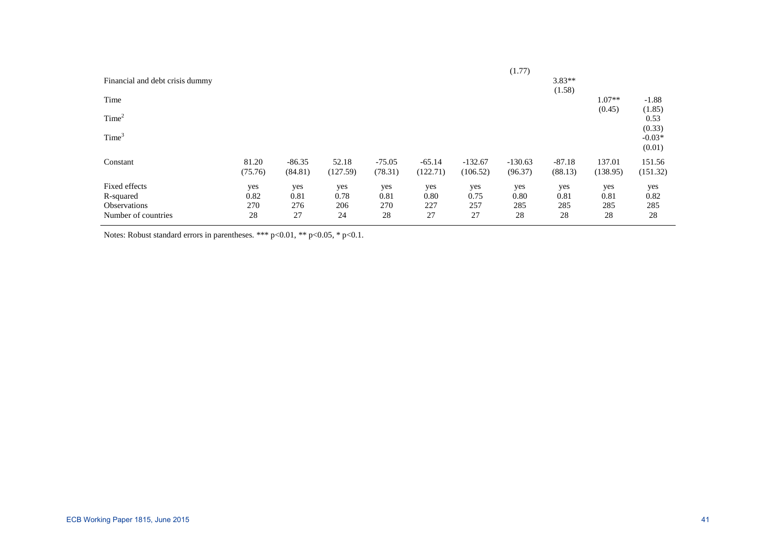|                                 |         |          |          |          |          |           | (1.77)    |          |          |          |
|---------------------------------|---------|----------|----------|----------|----------|-----------|-----------|----------|----------|----------|
| Financial and debt crisis dummy |         |          |          |          |          |           |           | $3.83**$ |          |          |
|                                 |         |          |          |          |          |           |           | (1.58)   |          |          |
| Time                            |         |          |          |          |          |           |           |          | $1.07**$ | $-1.88$  |
|                                 |         |          |          |          |          |           |           |          | (0.45)   | (1.85)   |
| Time <sup>2</sup>               |         |          |          |          |          |           |           |          |          | 0.53     |
|                                 |         |          |          |          |          |           |           |          |          | (0.33)   |
| Time <sup>3</sup>               |         |          |          |          |          |           |           |          |          | $-0.03*$ |
|                                 |         |          |          |          |          |           |           |          |          | (0.01)   |
| Constant                        | 81.20   | $-86.35$ | 52.18    | $-75.05$ | $-65.14$ | $-132.67$ | $-130.63$ | $-87.18$ | 137.01   | 151.56   |
|                                 | (75.76) | (84.81)  | (127.59) | (78.31)  | (122.71) | (106.52)  | (96.37)   | (88.13)  | (138.95) | (151.32) |
| Fixed effects                   | yes     | yes      | yes      | yes      | yes      | yes       | yes       | yes      | yes      | yes      |
| R-squared                       | 0.82    | 0.81     | 0.78     | 0.81     | 0.80     | 0.75      | 0.80      | 0.81     | 0.81     | 0.82     |
| <b>Observations</b>             | 270     | 276      | 206      | 270      | 227      | 257       | 285       | 285      | 285      | 285      |
| Number of countries             | 28      | 27       | 24       | 28       | 27       | 27        | 28        | 28       | 28       | 28       |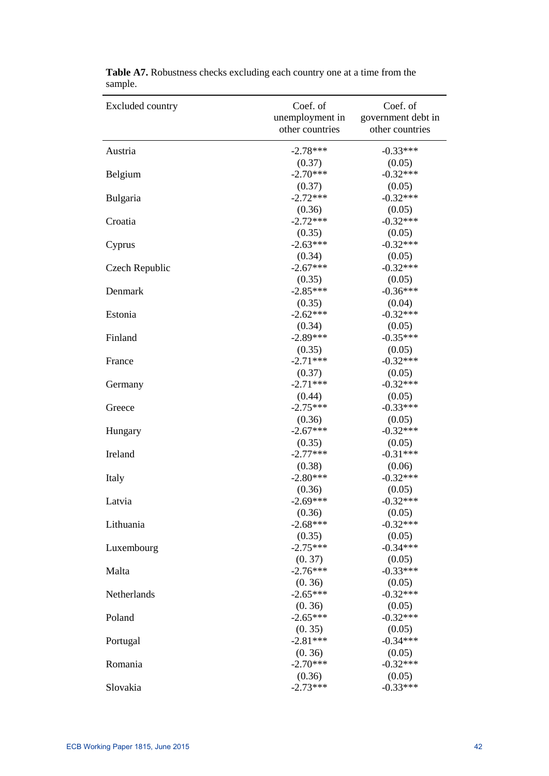| Excluded country | Coef. of        | Coef. of           |
|------------------|-----------------|--------------------|
|                  | unemployment in | government debt in |
|                  | other countries | other countries    |
| Austria          | $-2.78***$      | $-0.33***$         |
|                  | (0.37)          | (0.05)             |
| Belgium          | $-2.70***$      | $-0.32***$         |
|                  | (0.37)          | (0.05)             |
| Bulgaria         | $-2.72***$      | $-0.32***$         |
|                  | (0.36)          | (0.05)             |
| Croatia          | $-2.72***$      | $-0.32***$         |
|                  | (0.35)          | (0.05)             |
| Cyprus           | $-2.63***$      | $-0.32***$         |
|                  | (0.34)          | (0.05)             |
| Czech Republic   | $-2.67***$      | $-0.32***$         |
|                  | (0.35)          | (0.05)             |
| Denmark          | $-2.85***$      | $-0.36***$         |
|                  | (0.35)          | (0.04)             |
| Estonia          | $-2.62***$      | $-0.32***$         |
|                  | (0.34)          | (0.05)             |
| Finland          | $-2.89***$      | $-0.35***$         |
|                  | (0.35)          | (0.05)             |
| France           | $-2.71***$      | $-0.32***$         |
|                  | (0.37)          | (0.05)             |
| Germany          | $-2.71***$      | $-0.32***$         |
|                  | (0.44)          | (0.05)             |
| Greece           | $-2.75***$      | $-0.33***$         |
|                  | (0.36)          | (0.05)             |
| Hungary          | $-2.67***$      | $-0.32***$         |
|                  | (0.35)          | (0.05)             |
| Ireland          | $-2.77***$      | $-0.31***$         |
|                  | (0.38)          | (0.06)             |
| Italy            | $-2.80***$      | $-0.32***$         |
|                  | (0.36)          | (0.05)             |
| Latvia           | $-2.69***$      | $-0.32***$         |
|                  | (0.36)          | (0.05)             |
| Lithuania        | $-2.68***$      | $-0.32***$         |
|                  | (0.35)          | (0.05)             |
| Luxembourg       | $-2.75***$      | $-0.34***$         |
|                  | (0.37)          | (0.05)             |
| Malta            | $-2.76***$      | $-0.33***$         |
|                  | (0.36)          | (0.05)             |
| Netherlands      | $-2.65***$      | $-0.32***$         |
|                  | (0.36)          | (0.05)             |
| Poland           | $-2.65***$      | $-0.32***$         |
|                  | (0.35)          | (0.05)             |
| Portugal         | $-2.81***$      | $-0.34***$         |
|                  | (0.36)          | (0.05)             |
| Romania          | $-2.70***$      | $-0.32***$         |
|                  | (0.36)          | (0.05)             |
| Slovakia         | $-2.73***$      | $-0.33***$         |

| Table A7. Robustness checks excluding each country one at a time from the |  |
|---------------------------------------------------------------------------|--|
| sample.                                                                   |  |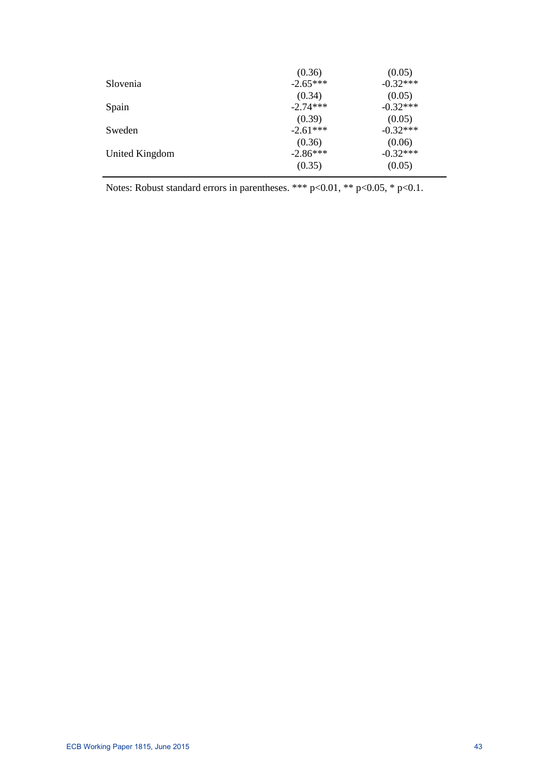|                | (0.36)     | (0.05)     |
|----------------|------------|------------|
| Slovenia       | $-2.65***$ | $-0.32***$ |
|                | (0.34)     | (0.05)     |
| Spain          | $-2.74***$ | $-0.32***$ |
|                | (0.39)     | (0.05)     |
| Sweden         | $-2.61***$ | $-0.32***$ |
|                | (0.36)     | (0.06)     |
| United Kingdom | $-2.86***$ | $-0.32***$ |
|                | (0.35)     | (0.05)     |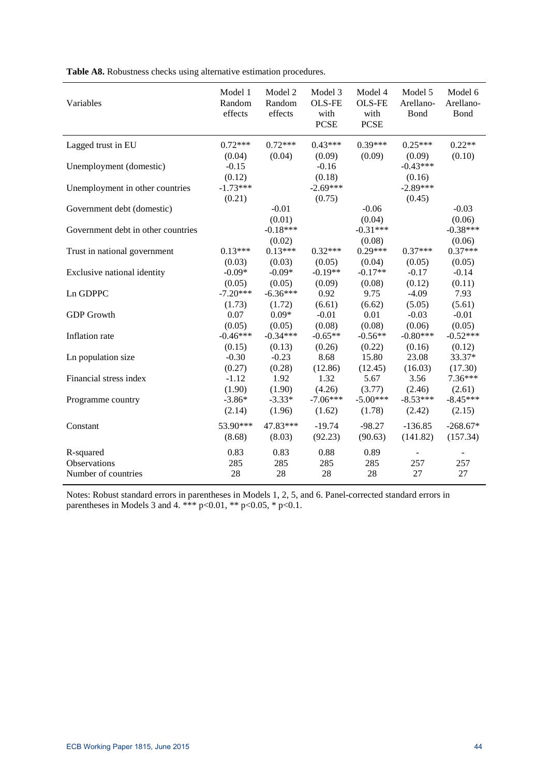| Variables                          | Model 1<br>Random<br>effects | Model 2<br>Random<br>effects | Model 3<br><b>OLS-FE</b><br>with<br><b>PCSE</b> | Model 4<br><b>OLS-FE</b><br>with<br><b>PCSE</b> | Model 5<br>Arellano-<br>Bond   | Model 6<br>Arellano-<br>Bond |
|------------------------------------|------------------------------|------------------------------|-------------------------------------------------|-------------------------------------------------|--------------------------------|------------------------------|
| Lagged trust in EU                 | $0.72***$                    | $0.72***$                    | $0.43***$                                       | $0.39***$                                       | $0.25***$                      | $0.22**$                     |
| Unemployment (domestic)            | (0.04)<br>$-0.15$<br>(0.12)  | (0.04)                       | (0.09)<br>$-0.16$<br>(0.18)                     | (0.09)                                          | (0.09)<br>$-0.43***$<br>(0.16) | (0.10)                       |
| Unemployment in other countries    | $-1.73***$<br>(0.21)         |                              | $-2.69***$<br>(0.75)                            |                                                 | $-2.89***$<br>(0.45)           |                              |
| Government debt (domestic)         |                              | $-0.01$<br>(0.01)            |                                                 | $-0.06$<br>(0.04)                               |                                | $-0.03$<br>(0.06)            |
| Government debt in other countries |                              | $-0.18***$<br>(0.02)         |                                                 | $-0.31***$<br>(0.08)                            |                                | $-0.38***$<br>(0.06)         |
| Trust in national government       | $0.13***$<br>(0.03)          | $0.13***$<br>(0.03)          | $0.32***$<br>(0.05)                             | $0.29***$<br>(0.04)                             | $0.37***$<br>(0.05)            | $0.37***$<br>(0.05)          |
| Exclusive national identity        | $-0.09*$                     | $-0.09*$                     | $-0.19**$                                       | $-0.17**$                                       | $-0.17$                        | $-0.14$                      |
| Ln GDPPC                           | (0.05)<br>$-7.20***$         | (0.05)<br>$-6.36***$         | (0.09)<br>0.92                                  | (0.08)<br>9.75                                  | (0.12)<br>$-4.09$              | (0.11)<br>7.93               |
| <b>GDP</b> Growth                  | (1.73)<br>0.07               | (1.72)<br>$0.09*$            | (6.61)<br>$-0.01$                               | (6.62)<br>0.01                                  | (5.05)<br>$-0.03$              | (5.61)<br>$-0.01$            |
| Inflation rate                     | (0.05)<br>$-0.46***$         | (0.05)<br>$-0.34***$         | (0.08)<br>$-0.65**$                             | (0.08)<br>$-0.56**$                             | (0.06)<br>$-0.80***$           | (0.05)<br>$-0.52***$         |
| Ln population size                 | (0.15)<br>$-0.30$            | (0.13)<br>$-0.23$            | (0.26)<br>8.68                                  | (0.22)<br>15.80                                 | (0.16)<br>23.08                | (0.12)<br>33.37*             |
| Financial stress index             | (0.27)<br>$-1.12$            | (0.28)<br>1.92               | (12.86)<br>1.32                                 | (12.45)<br>5.67                                 | (16.03)<br>3.56                | (17.30)<br>7.36***           |
| Programme country                  | (1.90)<br>$-3.86*$           | (1.90)<br>$-3.33*$           | (4.26)<br>$-7.06***$                            | (3.77)<br>$-5.00***$                            | (2.46)<br>$-8.53***$           | (2.61)<br>$-8.45***$         |
| Constant                           | (2.14)<br>53.90***           | (1.96)<br>47.83***           | (1.62)<br>$-19.74$                              | (1.78)<br>$-98.27$                              | (2.42)<br>$-136.85$            | (2.15)<br>$-268.67*$         |
|                                    | (8.68)<br>0.83               | (8.03)                       | (92.23)<br>0.88                                 | (90.63)<br>0.89                                 | (141.82)                       | (157.34)                     |
| R-squared<br><b>Observations</b>   | 285                          | 0.83<br>285                  | 285                                             | 285                                             | 257                            | 257                          |
| Number of countries                | 28                           | 28                           | 28                                              | 28                                              | 27                             | 27                           |

**Table A8.** Robustness checks using alternative estimation procedures.

Notes: Robust standard errors in parentheses in Models 1, 2, 5, and 6. Panel-corrected standard errors in parentheses in Models 3 and 4. \*\*\*  $p<0.01$ , \*\*  $p<0.05$ , \*  $p<0.1$ .